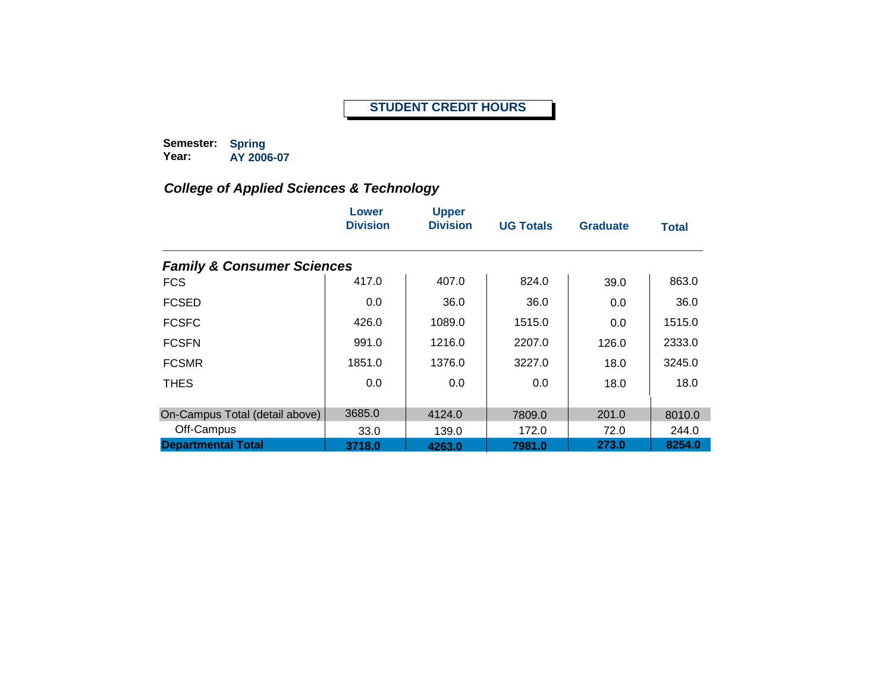#### **STUDENT CREDIT HOURS**

**Semester: Year: Spring AY 2006-07**

|                                       | Lower<br><b>Division</b> | <b>Upper</b><br><b>Division</b> | <b>UG Totals</b> | <b>Graduate</b> | <b>Total</b> |
|---------------------------------------|--------------------------|---------------------------------|------------------|-----------------|--------------|
| <b>Family &amp; Consumer Sciences</b> |                          |                                 |                  |                 |              |
| <b>FCS</b>                            | 417.0                    | 407.0                           | 824.0            | 39.0            | 863.0        |
| <b>FCSED</b>                          | 0.0                      | 36.0                            | 36.0             | 0.0             | 36.0         |
| <b>FCSFC</b>                          | 426.0                    | 1089.0                          | 1515.0           | 0.0             | 1515.0       |
| <b>FCSFN</b>                          | 991.0                    | 1216.0                          | 2207.0           | 126.0           | 2333.0       |
| <b>FCSMR</b>                          | 1851.0                   | 1376.0                          | 3227.0           | 18.0            | 3245.0       |
| <b>THES</b>                           | 0.0                      | 0.0                             | 0.0              | 18.0            | 18.0         |
| On-Campus Total (detail above)        | 3685.0                   | 4124.0                          | 7809.0           | 201.0           | 8010.0       |
| Off-Campus                            | 33.0                     | 139.0                           | 172.0            | 72.0            | 244.0        |
| <b>Departmental Total</b>             | 3718.0                   | 4263.0                          | 7981.0           | 273.0           | 8254.0       |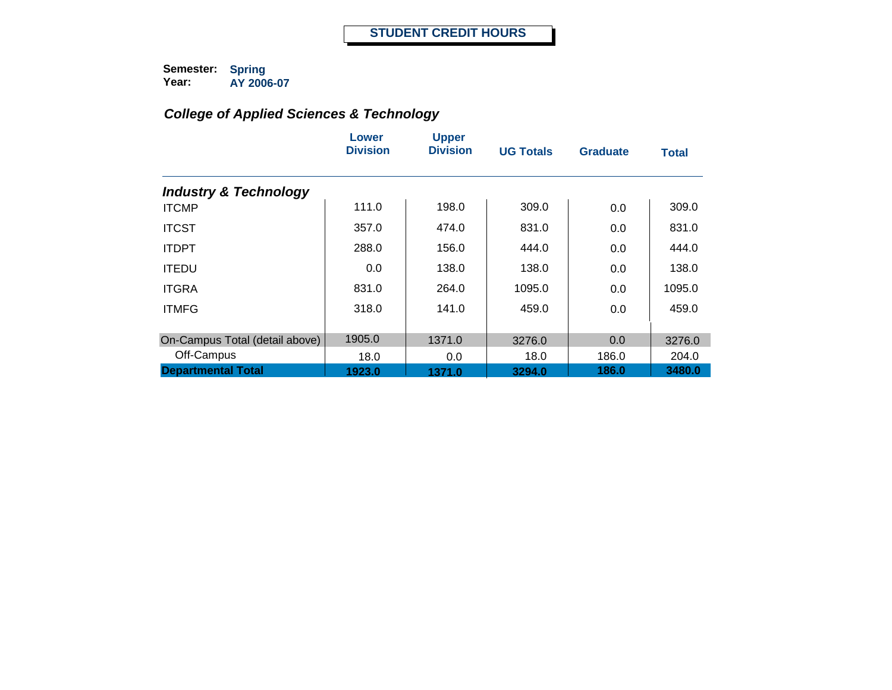|                                  | Lower<br><b>Division</b> | <b>Upper</b><br><b>Division</b> | <b>UG Totals</b> | <b>Graduate</b> | <b>Total</b> |
|----------------------------------|--------------------------|---------------------------------|------------------|-----------------|--------------|
| <b>Industry &amp; Technology</b> |                          |                                 |                  |                 |              |
| <b>ITCMP</b>                     | 111.0                    | 198.0                           | 309.0            | 0.0             | 309.0        |
| <b>ITCST</b>                     | 357.0                    | 474.0                           | 831.0            | 0.0             | 831.0        |
| <b>ITDPT</b>                     | 288.0                    | 156.0                           | 444.0            | 0.0             | 444.0        |
| <b>ITEDU</b>                     | 0.0                      | 138.0                           | 138.0            | 0.0             | 138.0        |
| <b>ITGRA</b>                     | 831.0                    | 264.0                           | 1095.0           | 0.0             | 1095.0       |
| <b>ITMFG</b>                     | 318.0                    | 141.0                           | 459.0            | 0.0             | 459.0        |
| On-Campus Total (detail above)   | 1905.0                   | 1371.0                          | 3276.0           | 0.0             | 3276.0       |
| Off-Campus                       | 18.0                     | 0.0                             | 18.0             | 186.0           | 204.0        |
| <b>Departmental Total</b>        | 1923.0                   | 1371.0                          | 3294.0           | 186.0           | 3480.0       |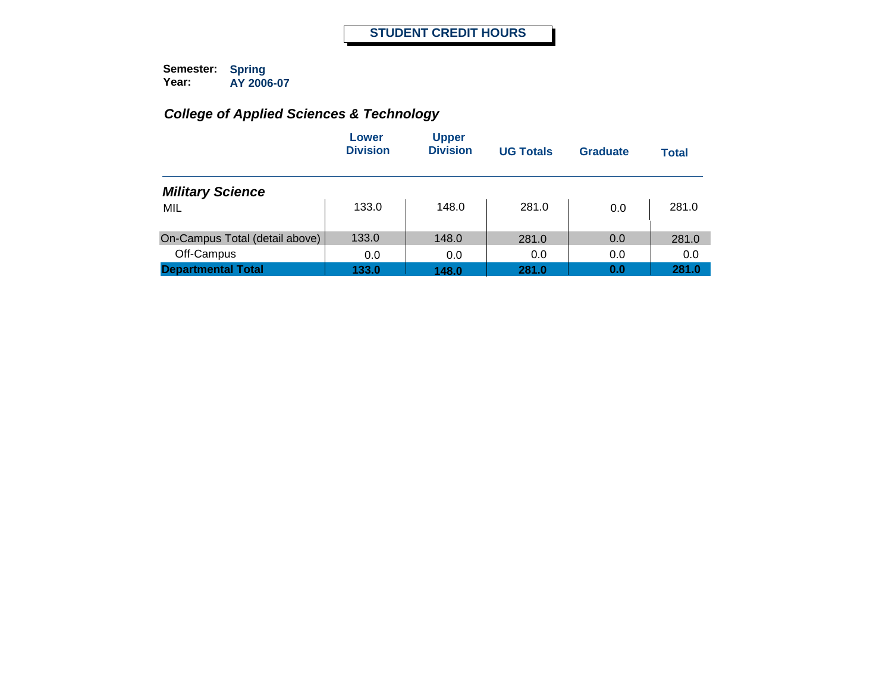|                                | Lower<br><b>Division</b> | <b>Upper</b><br><b>Division</b> | <b>UG Totals</b> | <b>Graduate</b> | <b>Total</b> |
|--------------------------------|--------------------------|---------------------------------|------------------|-----------------|--------------|
| <b>Military Science</b>        |                          |                                 |                  |                 |              |
| MIL                            | 133.0                    | 148.0                           | 281.0            | 0.0             | 281.0        |
| On-Campus Total (detail above) | 133.0                    | 148.0                           | 281.0            | 0.0             | 281.0        |
| Off-Campus                     | 0.0                      | 0.0                             | 0.0              | 0.0             | 0.0          |
| <b>Departmental Total</b>      | 133.0                    | 148.0                           | 281.0            | 0.0             | 281.0        |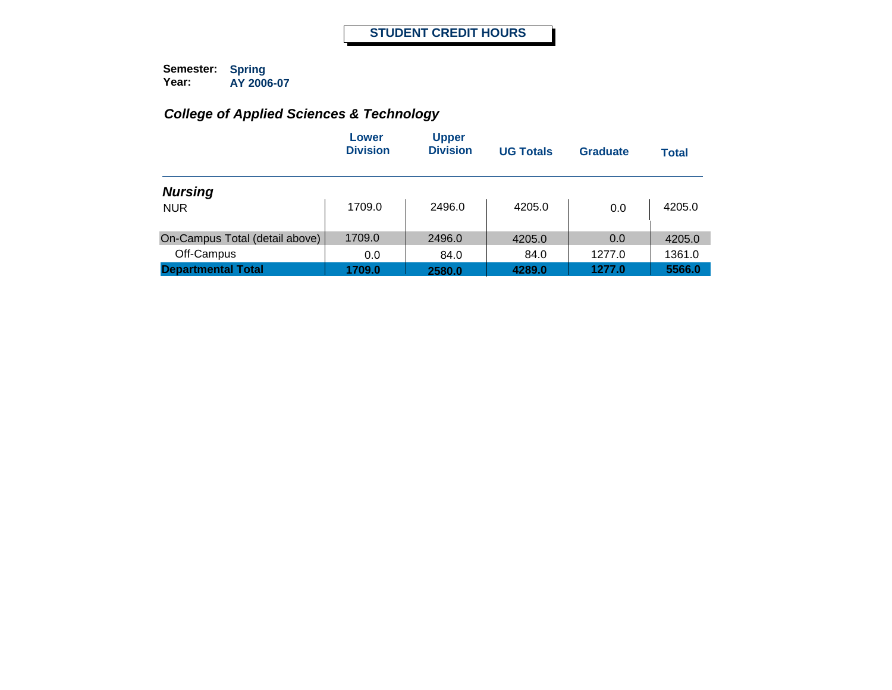|                                | Lower<br><b>Division</b> | <b>Upper</b><br><b>Division</b> | <b>UG Totals</b> | Graduate | Total  |
|--------------------------------|--------------------------|---------------------------------|------------------|----------|--------|
| <b>Nursing</b>                 |                          |                                 |                  |          |        |
| <b>NUR</b>                     | 1709.0                   | 2496.0                          | 4205.0           | 0.0      | 4205.0 |
| On-Campus Total (detail above) | 1709.0                   | 2496.0                          | 4205.0           | 0.0      | 4205.0 |
| Off-Campus                     | 0.0                      | 84.0                            | 84.0             | 1277.0   | 1361.0 |
| <b>Departmental Total</b>      | 1709.0                   | 2580.0                          | 4289.0           | 1277.0   | 5566.0 |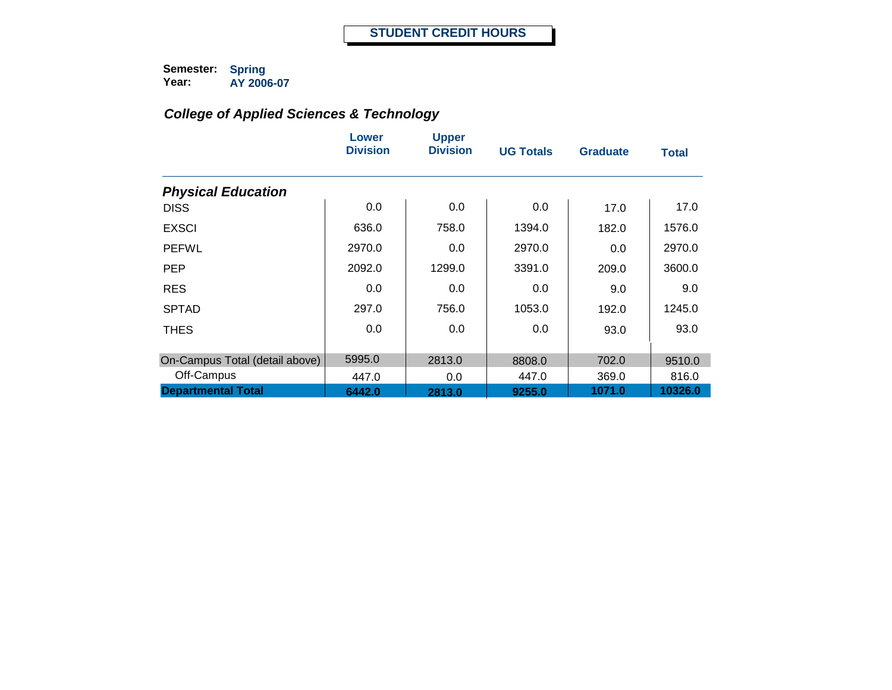|                                | Lower<br><b>Division</b> | <b>Upper</b><br><b>Division</b> | <b>UG Totals</b> | <b>Graduate</b> | <b>Total</b> |
|--------------------------------|--------------------------|---------------------------------|------------------|-----------------|--------------|
| <b>Physical Education</b>      |                          |                                 |                  |                 |              |
| <b>DISS</b>                    | 0.0                      | 0.0                             | 0.0              | 17.0            | 17.0         |
| <b>EXSCI</b>                   | 636.0                    | 758.0                           | 1394.0           | 182.0           | 1576.0       |
| <b>PEFWL</b>                   | 2970.0                   | 0.0                             | 2970.0           | 0.0             | 2970.0       |
| <b>PEP</b>                     | 2092.0                   | 1299.0                          | 3391.0           | 209.0           | 3600.0       |
| <b>RES</b>                     | 0.0                      | 0.0                             | 0.0              | 9.0             | 9.0          |
| <b>SPTAD</b>                   | 297.0                    | 756.0                           | 1053.0           | 192.0           | 1245.0       |
| <b>THES</b>                    | 0.0                      | 0.0                             | 0.0              | 93.0            | 93.0         |
| On-Campus Total (detail above) | 5995.0                   | 2813.0                          | 8808.0           | 702.0           | 9510.0       |
| Off-Campus                     | 447.0                    | 0.0                             | 447.0            | 369.0           | 816.0        |
| <b>Departmental Total</b>      | 6442.0                   | 2813.0                          | 9255.0           | 1071.0          | 10326.0      |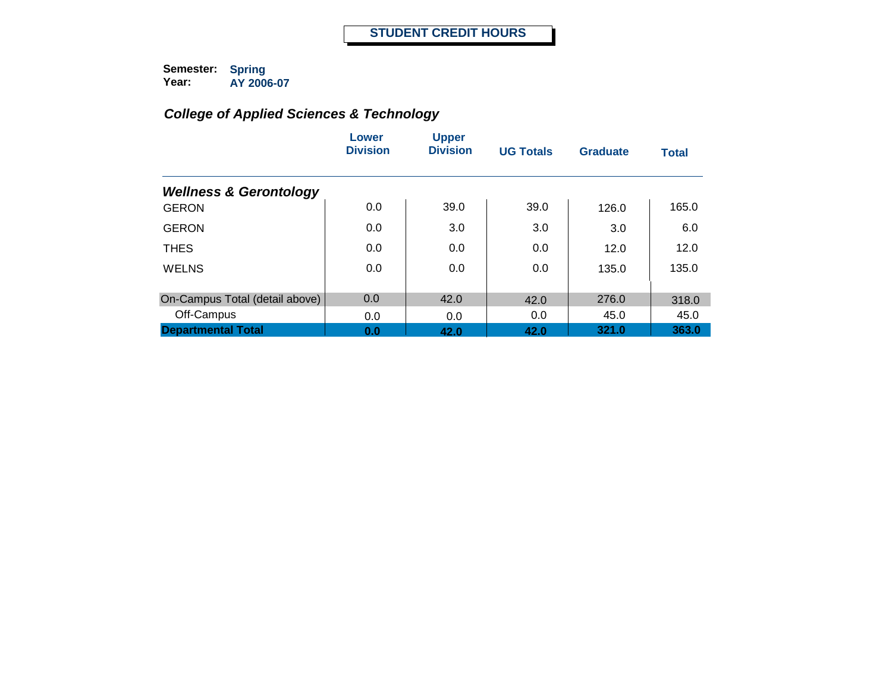|                                   | Lower<br><b>Division</b> | <b>Upper</b><br><b>Division</b> | <b>UG Totals</b> | <b>Graduate</b> | <b>Total</b> |
|-----------------------------------|--------------------------|---------------------------------|------------------|-----------------|--------------|
| <b>Wellness &amp; Gerontology</b> |                          |                                 |                  |                 |              |
| <b>GERON</b>                      | 0.0                      | 39.0                            | 39.0             | 126.0           | 165.0        |
| <b>GERON</b>                      | 0.0                      | 3.0                             | 3.0              | 3.0             | 6.0          |
| <b>THES</b>                       | 0.0                      | 0.0                             | 0.0              | 12.0            | 12.0         |
| <b>WELNS</b>                      | 0.0                      | 0.0                             | 0.0              | 135.0           | 135.0        |
| On-Campus Total (detail above)    | 0.0                      | 42.0                            | 42.0             | 276.0           | 318.0        |
| Off-Campus                        | 0.0                      | 0.0                             | 0.0              | 45.0            | 45.0         |
| <b>Departmental Total</b>         | 0.0                      | 42.0                            | 42.0             | 321.0           | 363.0        |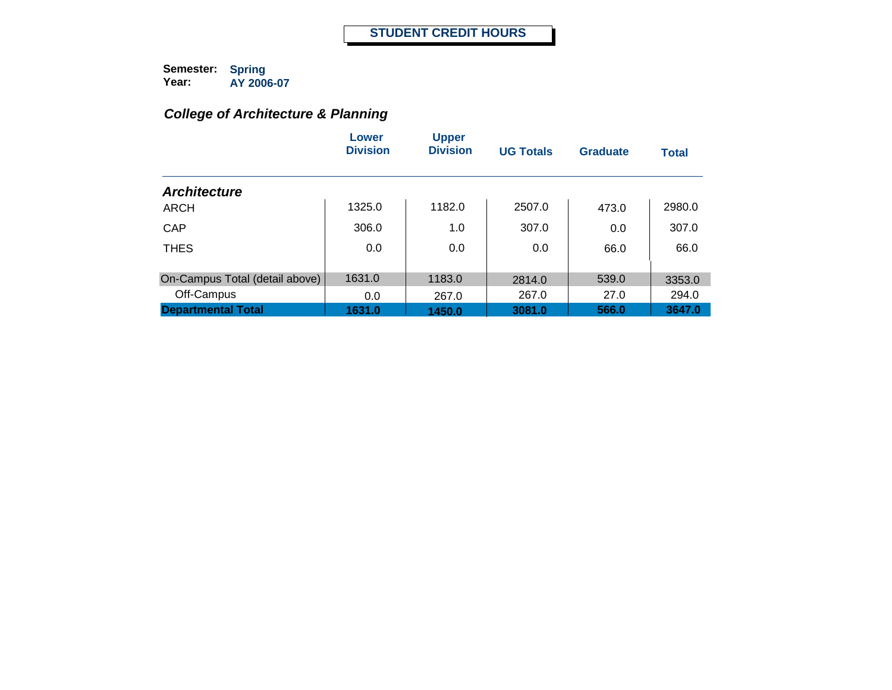# *College of Architecture & Planning*

|                                | Lower<br><b>Division</b> | <b>Upper</b><br><b>Division</b> | <b>UG Totals</b> | Graduate | <b>Total</b> |
|--------------------------------|--------------------------|---------------------------------|------------------|----------|--------------|
| <b>Architecture</b>            |                          |                                 |                  |          |              |
| ARCH                           | 1325.0                   | 1182.0                          | 2507.0           | 473.0    | 2980.0       |
| CAP                            | 306.0                    | 1.0                             | 307.0            | 0.0      | 307.0        |
| <b>THES</b>                    | 0.0                      | 0.0                             | 0.0              | 66.0     | 66.0         |
| On-Campus Total (detail above) | 1631.0                   | 1183.0                          | 2814.0           | 539.0    | 3353.0       |
| Off-Campus                     | 0.0                      | 267.0                           | 267.0            | 27.0     | 294.0        |
| <b>Departmental Total</b>      | 1631.0                   | 1450.0                          | 3081.0           | 566.0    | 3647.0       |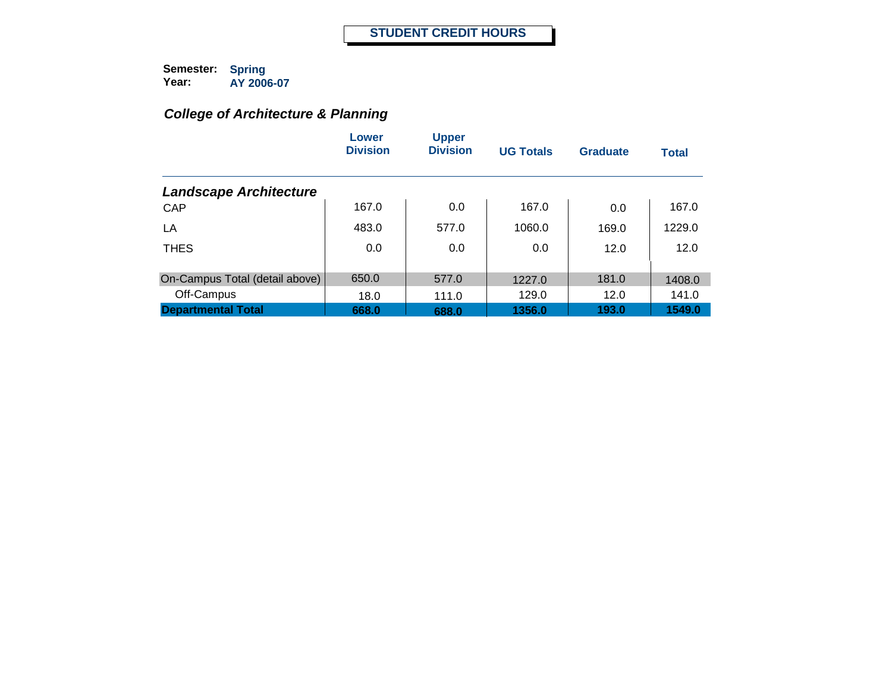# *College of Architecture & Planning*

|                                | Lower<br><b>Division</b> | <b>Upper</b><br><b>Division</b> | <b>UG Totals</b> | <b>Graduate</b> | <b>Total</b> |
|--------------------------------|--------------------------|---------------------------------|------------------|-----------------|--------------|
| <b>Landscape Architecture</b>  |                          |                                 |                  |                 |              |
| CAP                            | 167.0                    | 0.0                             | 167.0            | 0.0             | 167.0        |
| LA                             | 483.0                    | 577.0                           | 1060.0           | 169.0           | 1229.0       |
| <b>THES</b>                    | 0.0                      | 0.0                             | 0.0              | 12.0            | 12.0         |
|                                |                          |                                 |                  |                 |              |
| On-Campus Total (detail above) | 650.0                    | 577.0                           | 1227.0           | 181.0           | 1408.0       |
| Off-Campus                     | 18.0                     | 111.0                           | 129.0            | 12.0            | 141.0        |
| <b>Departmental Total</b>      | 668.0                    | 688.0                           | 1356.0           | 193.0           | 1549.0       |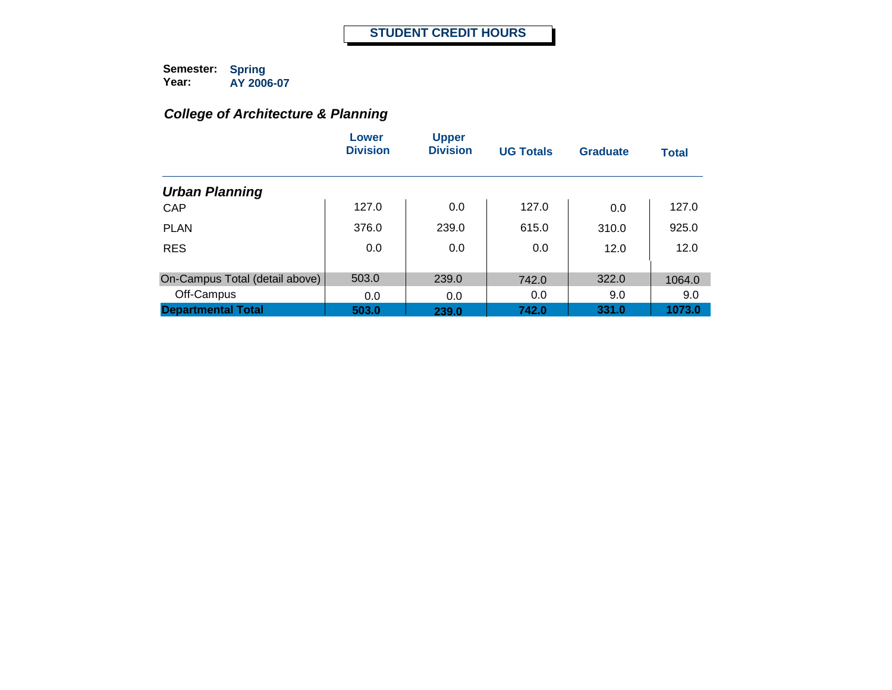# *College of Architecture & Planning*

|                                | Lower<br><b>Division</b> | <b>Upper</b><br><b>Division</b> | <b>UG Totals</b> | <b>Graduate</b> | <b>Total</b> |
|--------------------------------|--------------------------|---------------------------------|------------------|-----------------|--------------|
| <b>Urban Planning</b>          |                          |                                 |                  |                 |              |
| CAP                            | 127.0                    | 0.0                             | 127.0            | 0.0             | 127.0        |
| <b>PLAN</b>                    | 376.0                    | 239.0                           | 615.0            | 310.0           | 925.0        |
| <b>RES</b>                     | 0.0                      | 0.0                             | 0.0              | 12.0            | 12.0         |
| On-Campus Total (detail above) | 503.0                    | 239.0                           | 742.0            | 322.0           | 1064.0       |
| Off-Campus                     | 0.0                      | 0.0                             | 0.0              | 9.0             | 9.0          |
| <b>Departmental Total</b>      | 503.0                    | 239.0                           | 742.0            | 331.0           | 1073.0       |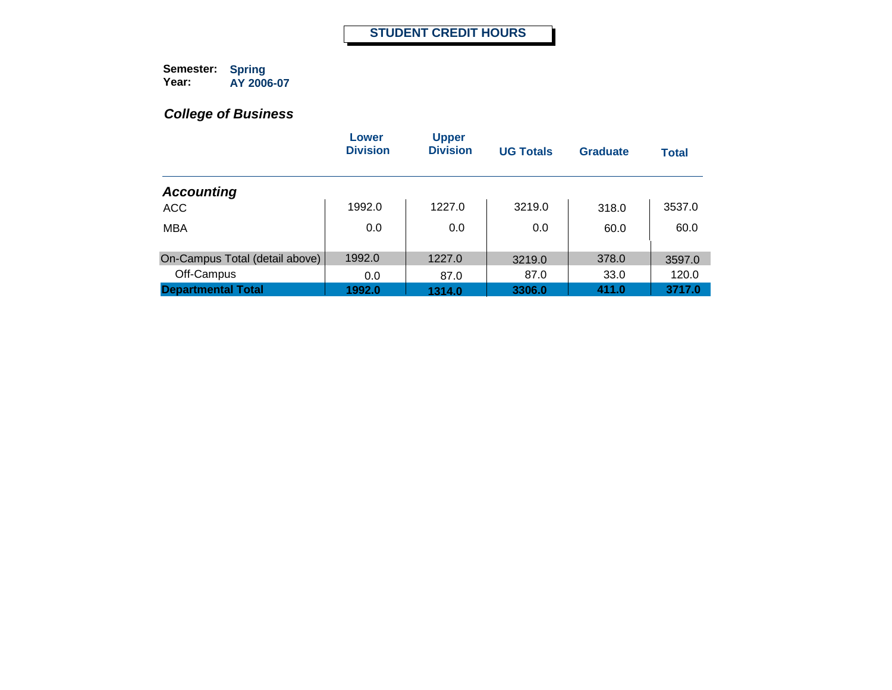|                                | Lower<br><b>Division</b> | <b>Upper</b><br><b>Division</b> | <b>UG Totals</b> | Graduate | <b>Total</b> |
|--------------------------------|--------------------------|---------------------------------|------------------|----------|--------------|
| <b>Accounting</b>              |                          |                                 |                  |          |              |
| <b>ACC</b>                     | 1992.0                   | 1227.0                          | 3219.0           | 318.0    | 3537.0       |
| <b>MBA</b>                     | 0.0                      | 0.0                             | 0.0              | 60.0     | 60.0         |
| On-Campus Total (detail above) | 1992.0                   | 1227.0                          | 3219.0           | 378.0    | 3597.0       |
| Off-Campus                     | 0.0                      | 87.0                            | 87.0             | 33.0     | 120.0        |
| <b>Departmental Total</b>      | 1992.0                   | 1314.0                          | 3306.0           | 411.0    | 3717.0       |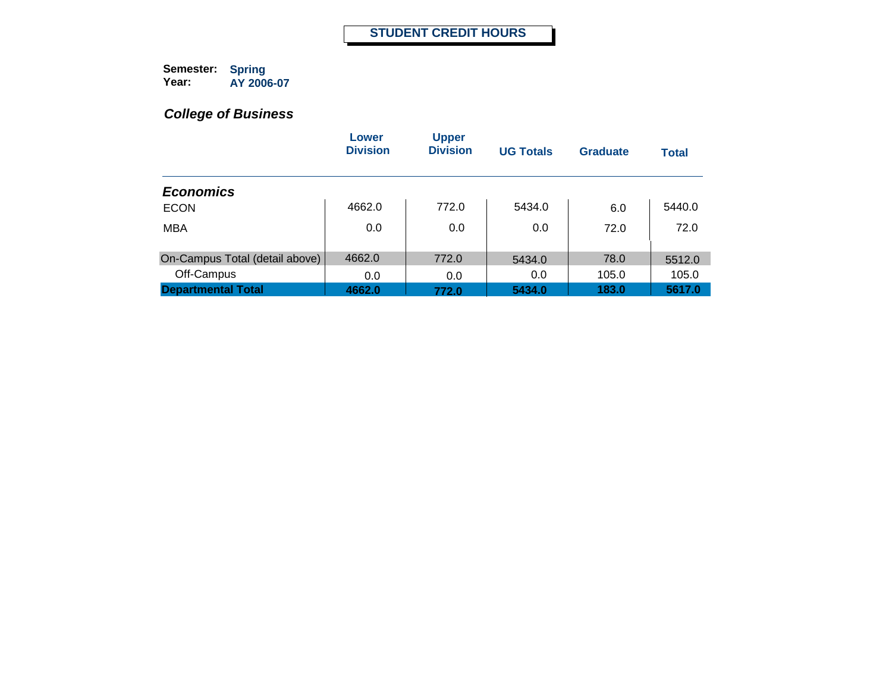|                                | Lower<br><b>Division</b> | <b>Upper</b><br><b>Division</b> | <b>UG Totals</b> | Graduate | <b>Total</b> |
|--------------------------------|--------------------------|---------------------------------|------------------|----------|--------------|
| <b>Economics</b>               |                          |                                 |                  |          |              |
| <b>ECON</b>                    | 4662.0                   | 772.0                           | 5434.0           | 6.0      | 5440.0       |
| <b>MBA</b>                     | 0.0                      | 0.0                             | 0.0              | 72.0     | 72.0         |
| On-Campus Total (detail above) | 4662.0                   | 772.0                           | 5434.0           | 78.0     | 5512.0       |
| Off-Campus                     | 0.0                      | 0.0                             | 0.0              | 105.0    | 105.0        |
| <b>Departmental Total</b>      | 4662.0                   | 772.0                           | 5434.0           | 183.0    | 5617.0       |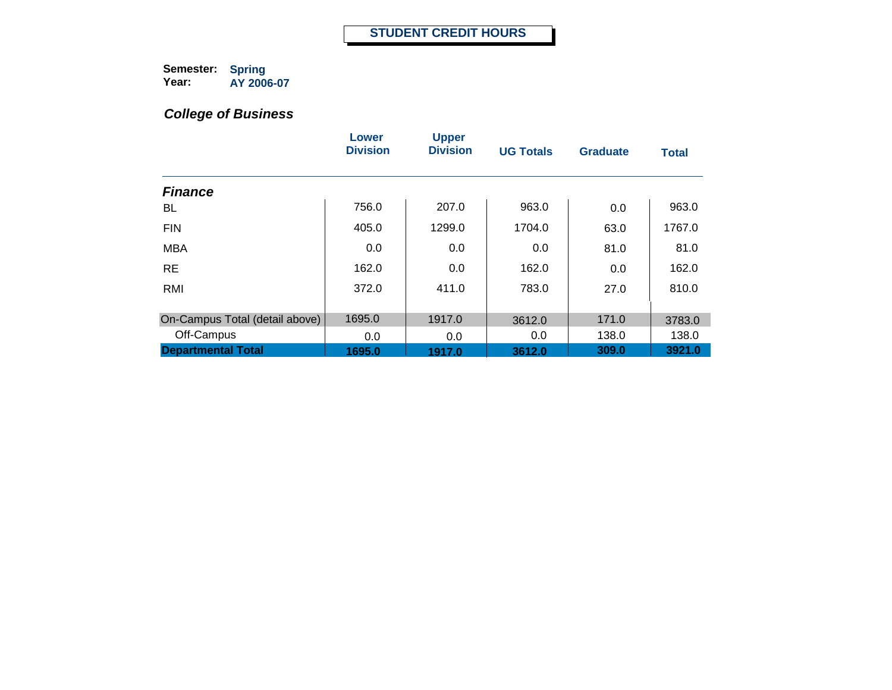|                                | Lower<br><b>Division</b> | <b>Upper</b><br><b>Division</b> | <b>UG Totals</b> | <b>Graduate</b> | <b>Total</b> |
|--------------------------------|--------------------------|---------------------------------|------------------|-----------------|--------------|
| <b>Finance</b>                 |                          |                                 |                  |                 |              |
| BL                             | 756.0                    | 207.0                           | 963.0            | 0.0             | 963.0        |
| <b>FIN</b>                     | 405.0                    | 1299.0                          | 1704.0           | 63.0            | 1767.0       |
| <b>MBA</b>                     | 0.0                      | 0.0                             | 0.0              | 81.0            | 81.0         |
| <b>RE</b>                      | 162.0                    | 0.0                             | 162.0            | 0.0             | 162.0        |
| <b>RMI</b>                     | 372.0                    | 411.0                           | 783.0            | 27.0            | 810.0        |
|                                |                          |                                 |                  |                 |              |
| On-Campus Total (detail above) | 1695.0                   | 1917.0                          | 3612.0           | 171.0           | 3783.0       |
| Off-Campus                     | 0.0                      | 0.0                             | 0.0              | 138.0           | 138.0        |
| <b>Departmental Total</b>      | 1695.0                   | 1917.0                          | 3612.0           | 309.0           | 3921.0       |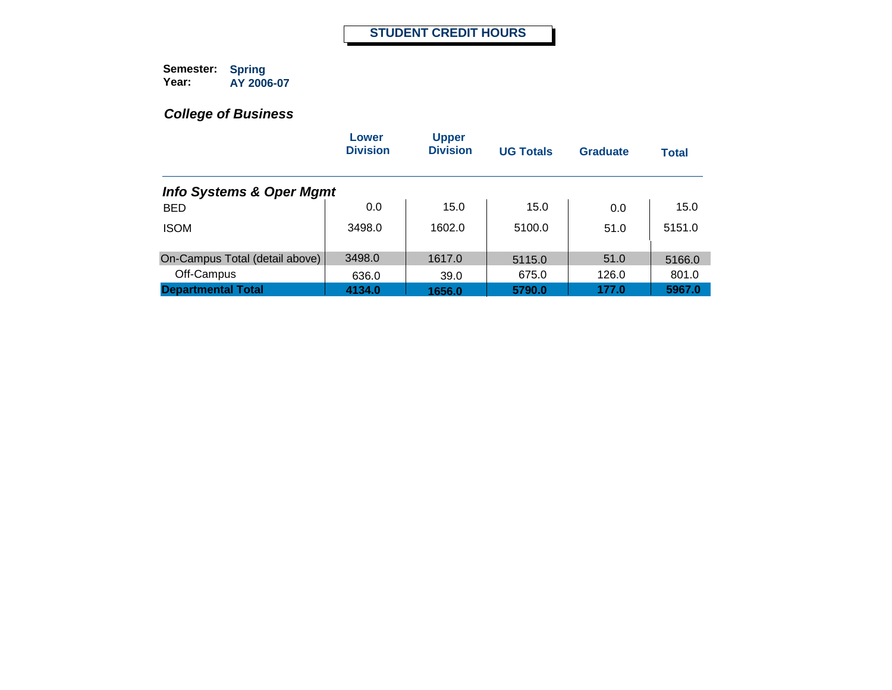|                                     | Lower<br><b>Division</b> | <b>Upper</b><br><b>Division</b> | <b>UG Totals</b> | Graduate | <b>Total</b> |
|-------------------------------------|--------------------------|---------------------------------|------------------|----------|--------------|
| <b>Info Systems &amp; Oper Mgmt</b> |                          |                                 |                  |          |              |
| <b>BED</b>                          | 0.0                      | 15.0                            | 15.0             | 0.0      | 15.0         |
| <b>ISOM</b>                         | 3498.0                   | 1602.0                          | 5100.0           | 51.0     | 5151.0       |
| On-Campus Total (detail above)      | 3498.0                   | 1617.0                          | 5115.0           | 51.0     | 5166.0       |
| Off-Campus                          | 636.0                    | 39.0                            | 675.0            | 126.0    | 801.0        |
| <b>Departmental Total</b>           | 4134.0                   | 1656.0                          | 5790.0           | 177.0    | 5967.0       |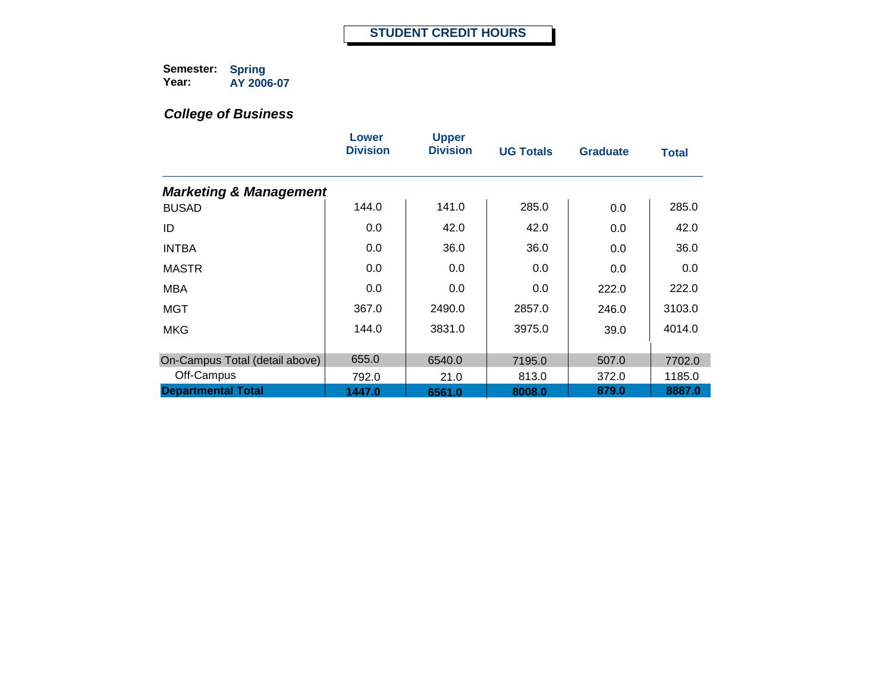|                                   | Lower<br><b>Division</b> | <b>Upper</b><br><b>Division</b> | <b>UG Totals</b> | <b>Graduate</b> | <b>Total</b> |
|-----------------------------------|--------------------------|---------------------------------|------------------|-----------------|--------------|
| <b>Marketing &amp; Management</b> |                          |                                 |                  |                 |              |
| <b>BUSAD</b>                      | 144.0                    | 141.0                           | 285.0            | 0.0             | 285.0        |
| ID                                | 0.0                      | 42.0                            | 42.0             | 0.0             | 42.0         |
| <b>INTBA</b>                      | 0.0                      | 36.0                            | 36.0             | 0.0             | 36.0         |
| <b>MASTR</b>                      | 0.0                      | 0.0                             | 0.0              | 0.0             | 0.0          |
| <b>MBA</b>                        | 0.0                      | 0.0                             | 0.0              | 222.0           | 222.0        |
| <b>MGT</b>                        | 367.0                    | 2490.0                          | 2857.0           | 246.0           | 3103.0       |
| <b>MKG</b>                        | 144.0                    | 3831.0                          | 3975.0           | 39.0            | 4014.0       |
| On-Campus Total (detail above)    | 655.0                    | 6540.0                          | 7195.0           | 507.0           | 7702.0       |
| Off-Campus                        | 792.0                    | 21.0                            | 813.0            | 372.0           | 1185.0       |
| <b>Departmental Total</b>         | 1447.0                   | 6561.0                          | 8008.0           | 879.0           | 8887.0       |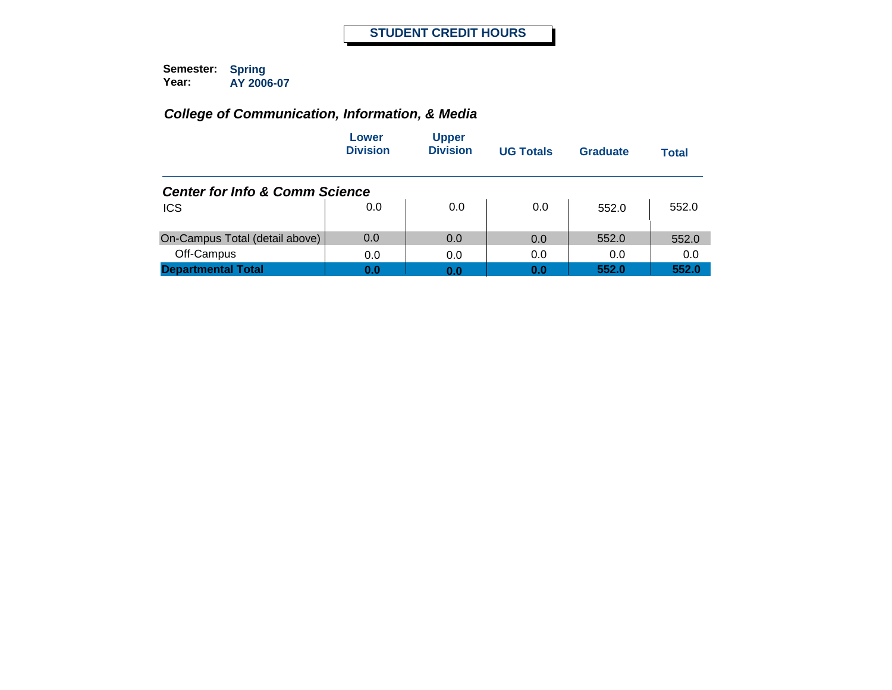|                                           | Lower<br><b>Division</b> | <b>Upper</b><br><b>Division</b> | <b>UG Totals</b> | Graduate | Total |
|-------------------------------------------|--------------------------|---------------------------------|------------------|----------|-------|
| <b>Center for Info &amp; Comm Science</b> |                          |                                 |                  |          |       |
| <b>ICS</b>                                | 0.0                      | 0.0                             | 0.0              | 552.0    | 552.0 |
| On-Campus Total (detail above)            | 0.0                      | 0.0                             | 0.0              | 552.0    | 552.0 |
| Off-Campus                                | 0.0                      | 0.0                             | 0.0              | 0.0      | 0.0   |
| <b>Departmental Total</b>                 | 0.0                      | 0.0                             | 0.0              | 552.0    | 552.0 |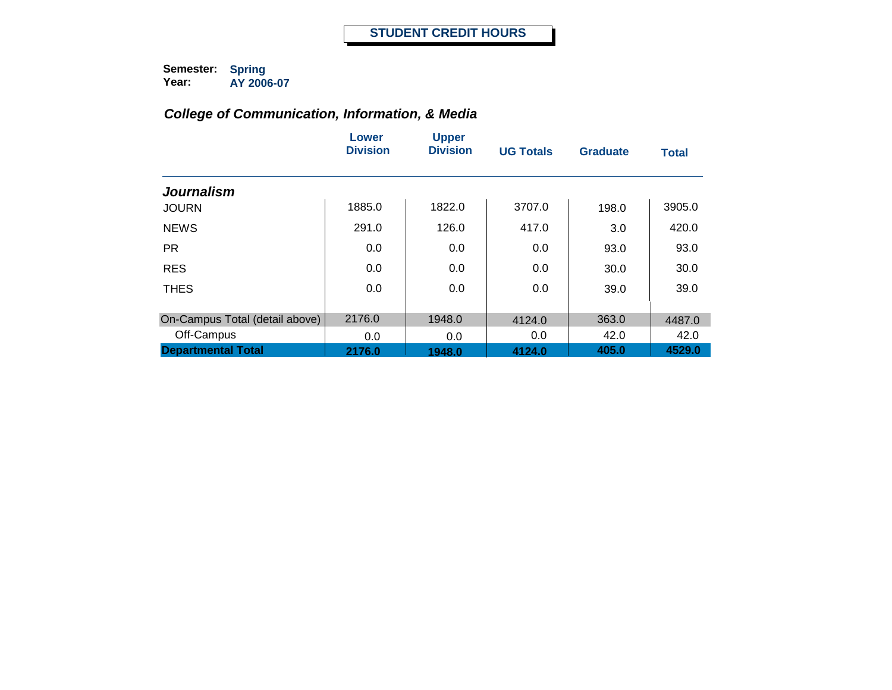|                                | Lower<br><b>Division</b> | <b>Upper</b><br><b>Division</b> | <b>UG Totals</b> | <b>Graduate</b> | <b>Total</b> |
|--------------------------------|--------------------------|---------------------------------|------------------|-----------------|--------------|
| <b>Journalism</b>              |                          |                                 |                  |                 |              |
| <b>JOURN</b>                   | 1885.0                   | 1822.0                          | 3707.0           | 198.0           | 3905.0       |
| <b>NEWS</b>                    | 291.0                    | 126.0                           | 417.0            | 3.0             | 420.0        |
| <b>PR</b>                      | 0.0                      | 0.0                             | 0.0              | 93.0            | 93.0         |
| <b>RES</b>                     | 0.0                      | 0.0                             | 0.0              | 30.0            | 30.0         |
| <b>THES</b>                    | 0.0                      | 0.0                             | 0.0              | 39.0            | 39.0         |
| On-Campus Total (detail above) | 2176.0                   | 1948.0                          | 4124.0           | 363.0           | 4487.0       |
| Off-Campus                     | 0.0                      | 0.0                             | 0.0              | 42.0            | 42.0         |
| <b>Departmental Total</b>      | 2176.0                   | 1948.0                          | 4124.0           | 405.0           | 4529.0       |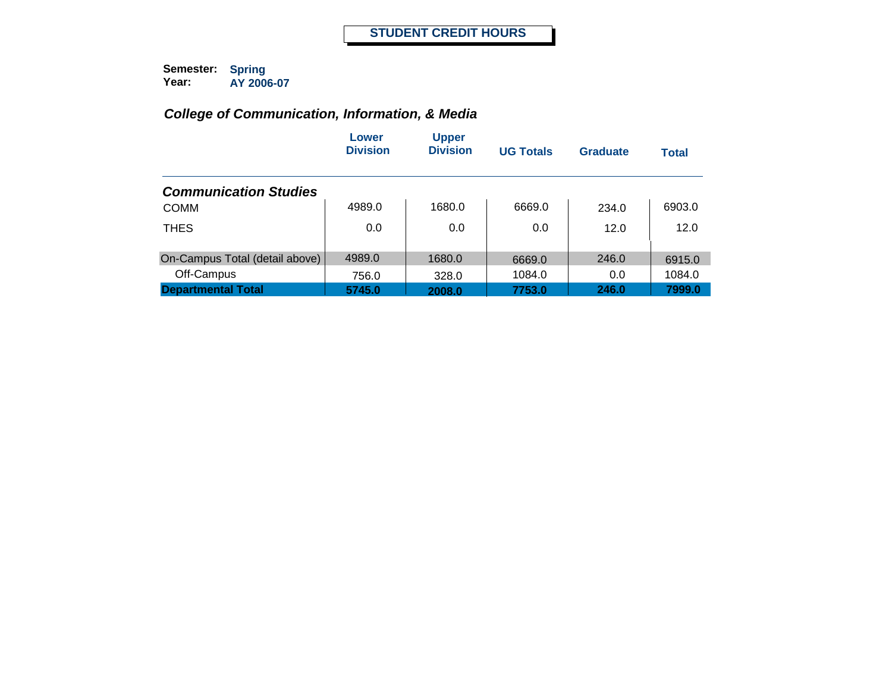|                                | Lower<br><b>Division</b> | <b>Upper</b><br><b>Division</b> | <b>UG Totals</b> | <b>Graduate</b> | <b>Total</b> |
|--------------------------------|--------------------------|---------------------------------|------------------|-----------------|--------------|
| <b>Communication Studies</b>   |                          |                                 |                  |                 |              |
| <b>COMM</b>                    | 4989.0                   | 1680.0                          | 6669.0           | 234.0           | 6903.0       |
| <b>THES</b>                    | 0.0                      | 0.0                             | 0.0              | 12.0            | 12.0         |
| On-Campus Total (detail above) | 4989.0                   | 1680.0                          | 6669.0           | 246.0           | 6915.0       |
| Off-Campus                     | 756.0                    | 328.0                           | 1084.0           | 0.0             | 1084.0       |
| <b>Departmental Total</b>      | 5745.0                   | 2008.0                          | 7753.0           | 246.0           | 7999.0       |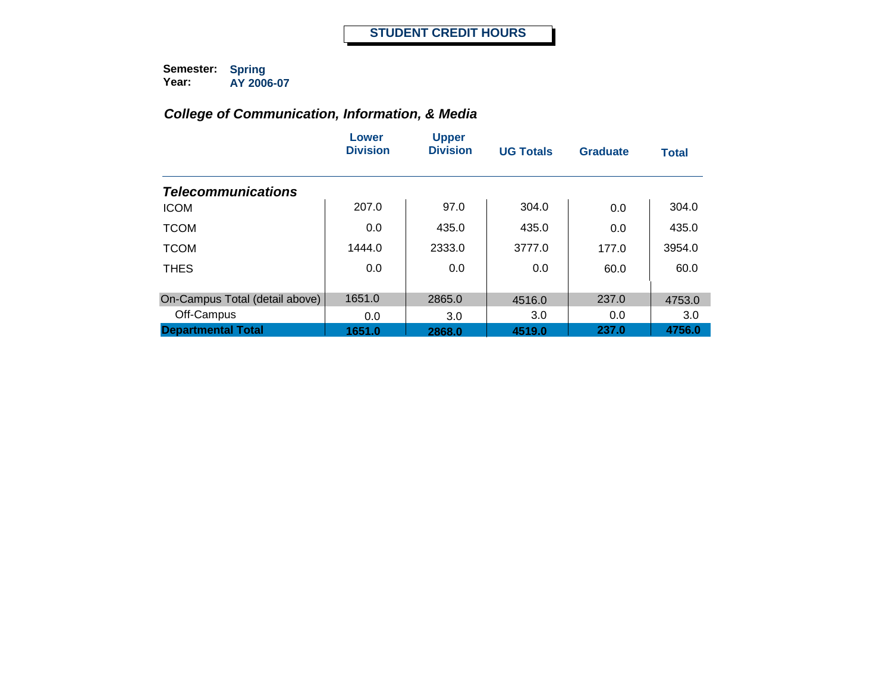|                                | Lower<br><b>Division</b> | <b>Upper</b><br><b>Division</b> | <b>UG Totals</b> | <b>Graduate</b> | <b>Total</b> |
|--------------------------------|--------------------------|---------------------------------|------------------|-----------------|--------------|
| <b>Telecommunications</b>      |                          |                                 |                  |                 |              |
| <b>ICOM</b>                    | 207.0                    | 97.0                            | 304.0            | 0.0             | 304.0        |
| <b>TCOM</b>                    | 0.0                      | 435.0                           | 435.0            | 0.0             | 435.0        |
| <b>TCOM</b>                    | 1444.0                   | 2333.0                          | 3777.0           | 177.0           | 3954.0       |
| <b>THES</b>                    | 0.0                      | 0.0                             | 0.0              | 60.0            | 60.0         |
| On-Campus Total (detail above) | 1651.0                   | 2865.0                          | 4516.0           | 237.0           | 4753.0       |
| Off-Campus                     | 0.0                      | 3.0                             | 3.0              | 0.0             | 3.0          |
| <b>Departmental Total</b>      | 1651.0                   | 2868.0                          | 4519.0           | 237.0           | 4756.0       |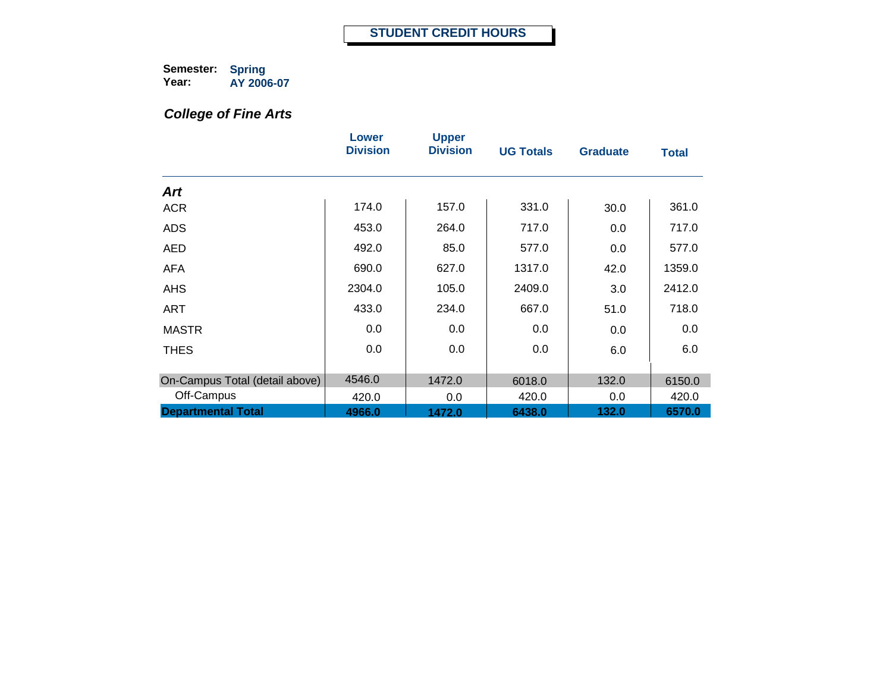# *College of Fine Arts*

|                                | Lower<br><b>Division</b> | <b>Upper</b><br><b>Division</b> | <b>UG Totals</b> | <b>Graduate</b> | <b>Total</b> |
|--------------------------------|--------------------------|---------------------------------|------------------|-----------------|--------------|
| Art                            |                          |                                 |                  |                 |              |
| <b>ACR</b>                     | 174.0                    | 157.0                           | 331.0            | 30.0            | 361.0        |
| <b>ADS</b>                     | 453.0                    | 264.0                           | 717.0            | 0.0             | 717.0        |
| <b>AED</b>                     | 492.0                    | 85.0                            | 577.0            | 0.0             | 577.0        |
| <b>AFA</b>                     | 690.0                    | 627.0                           | 1317.0           | 42.0            | 1359.0       |
| <b>AHS</b>                     | 2304.0                   | 105.0                           | 2409.0           | 3.0             | 2412.0       |
| <b>ART</b>                     | 433.0                    | 234.0                           | 667.0            | 51.0            | 718.0        |
| <b>MASTR</b>                   | 0.0                      | $0.0\,$                         | 0.0              | 0.0             | 0.0          |
| <b>THES</b>                    | 0.0                      | 0.0                             | 0.0              | 6.0             | 6.0          |
| On-Campus Total (detail above) | 4546.0                   | 1472.0                          | 6018.0           | 132.0           | 6150.0       |
| Off-Campus                     | 420.0                    | 0.0                             | 420.0            | 0.0             | 420.0        |
| <b>Departmental Total</b>      | 4966.0                   | 1472.0                          | 6438.0           | 132.0           | 6570.0       |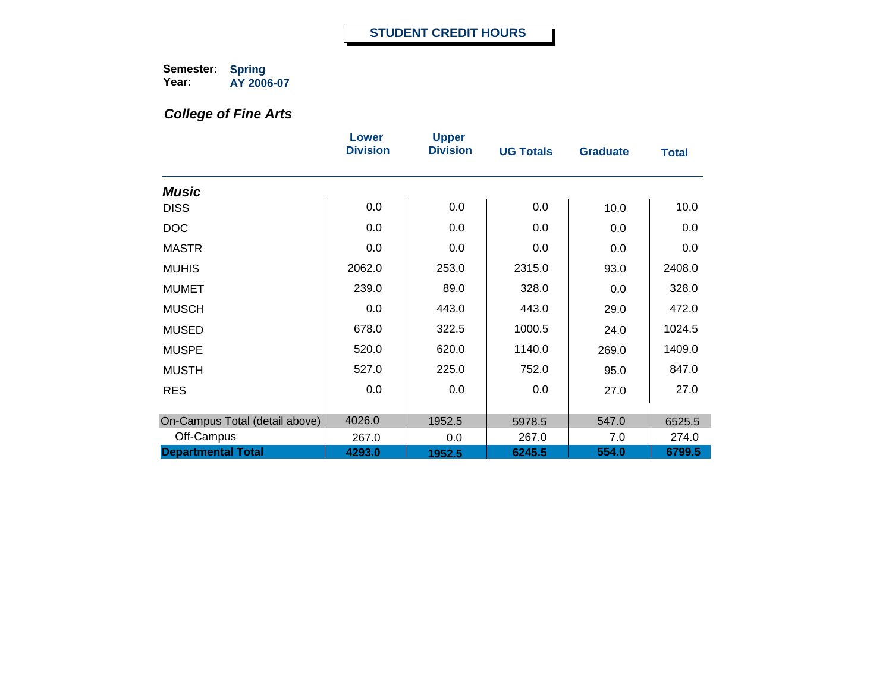# *College of Fine Arts*

|                                              | Lower<br><b>Division</b> | <b>Upper</b><br><b>Division</b> | <b>UG Totals</b> | <b>Graduate</b> | <b>Total</b>    |
|----------------------------------------------|--------------------------|---------------------------------|------------------|-----------------|-----------------|
| <b>Music</b>                                 |                          |                                 |                  |                 |                 |
| <b>DISS</b>                                  | 0.0                      | 0.0                             | 0.0              | 10.0            | 10.0            |
| <b>DOC</b>                                   | 0.0                      | 0.0                             | 0.0              | 0.0             | 0.0             |
| <b>MASTR</b>                                 | 0.0                      | 0.0                             | 0.0              | 0.0             | 0.0             |
| <b>MUHIS</b>                                 | 2062.0                   | 253.0                           | 2315.0           | 93.0            | 2408.0          |
| <b>MUMET</b>                                 | 239.0                    | 89.0                            | 328.0            | 0.0             | 328.0           |
| <b>MUSCH</b>                                 | 0.0                      | 443.0                           | 443.0            | 29.0            | 472.0           |
| <b>MUSED</b>                                 | 678.0                    | 322.5                           | 1000.5           | 24.0            | 1024.5          |
| <b>MUSPE</b>                                 | 520.0                    | 620.0                           | 1140.0           | 269.0           | 1409.0          |
| <b>MUSTH</b>                                 | 527.0                    | 225.0                           | 752.0            | 95.0            | 847.0           |
| <b>RES</b>                                   | 0.0                      | 0.0                             | 0.0              | 27.0            | 27.0            |
|                                              | 4026.0                   | 1952.5                          |                  | 547.0           |                 |
| On-Campus Total (detail above)<br>Off-Campus | 267.0                    | 0.0                             | 5978.5<br>267.0  | 7.0             | 6525.5<br>274.0 |
| <b>Departmental Total</b>                    | 4293.0                   | 1952.5                          | 6245.5           | 554.0           | 6799.5          |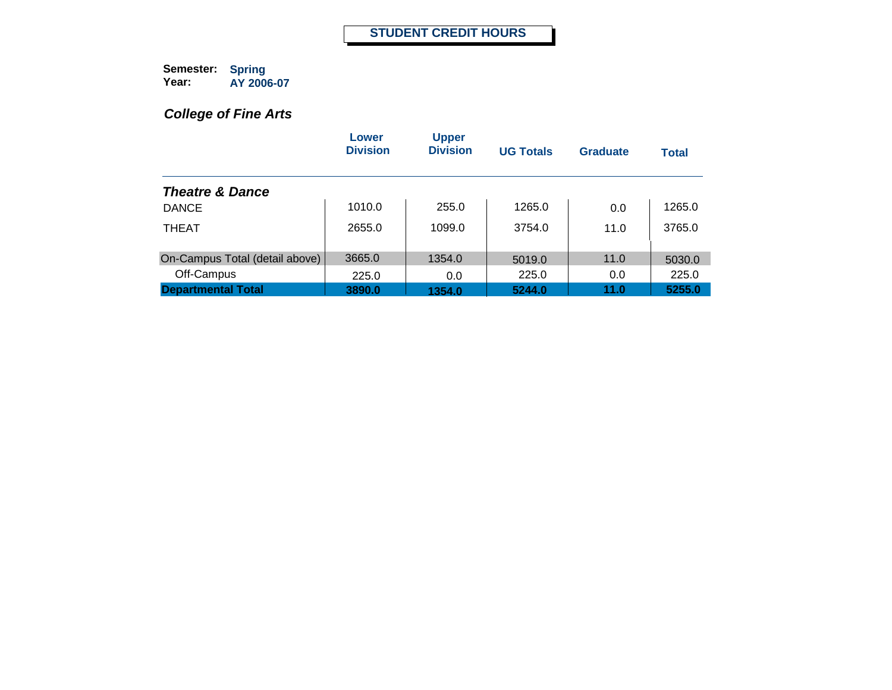# *College of Fine Arts*

|                                | Lower<br><b>Division</b> | <b>Upper</b><br><b>Division</b> | <b>UG Totals</b> | <b>Graduate</b> | <b>Total</b> |
|--------------------------------|--------------------------|---------------------------------|------------------|-----------------|--------------|
| <b>Theatre &amp; Dance</b>     |                          |                                 |                  |                 |              |
| <b>DANCE</b>                   | 1010.0                   | 255.0                           | 1265.0           | 0.0             | 1265.0       |
| <b>THEAT</b>                   | 2655.0                   | 1099.0                          | 3754.0           | 11.0            | 3765.0       |
| On-Campus Total (detail above) | 3665.0                   | 1354.0                          | 5019.0           | 11.0            | 5030.0       |
| Off-Campus                     | 225.0                    | 0.0                             | 225.0            | 0.0             | 225.0        |
| <b>Departmental Total</b>      | 3890.0                   | 1354.0                          | 5244.0           | 11.0            | 5255.0       |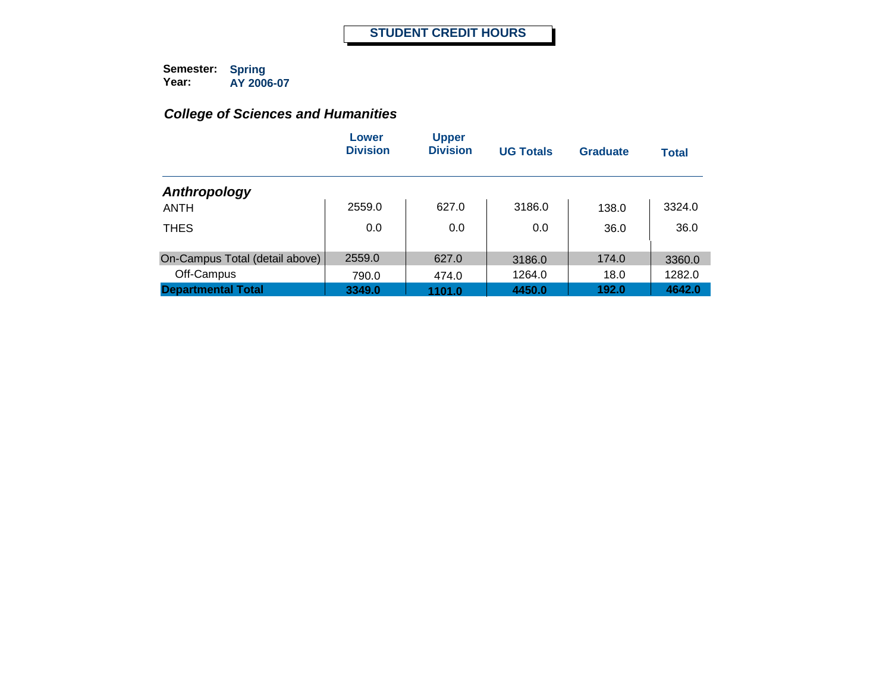|                                | Lower<br><b>Division</b> | <b>Upper</b><br><b>Division</b> | <b>UG Totals</b> | Graduate | <b>Total</b> |
|--------------------------------|--------------------------|---------------------------------|------------------|----------|--------------|
| Anthropology                   |                          |                                 |                  |          |              |
| <b>ANTH</b>                    | 2559.0                   | 627.0                           | 3186.0           | 138.0    | 3324.0       |
| <b>THES</b>                    | 0.0                      | 0.0                             | 0.0              | 36.0     | 36.0         |
| On-Campus Total (detail above) | 2559.0                   | 627.0                           | 3186.0           | 174.0    | 3360.0       |
| Off-Campus                     | 790.0                    | 474.0                           | 1264.0           | 18.0     | 1282.0       |
| <b>Departmental Total</b>      | 3349.0                   | 1101.0                          | 4450.0           | 192.0    | 4642.0       |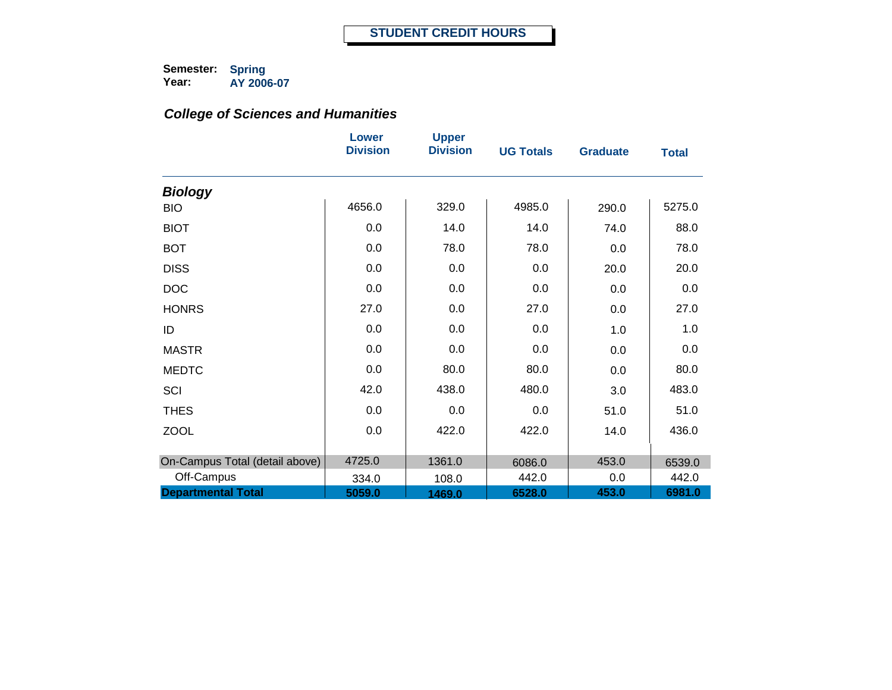|                                | <b>Lower</b><br><b>Division</b> | <b>Upper</b><br><b>Division</b> | <b>UG Totals</b> | <b>Graduate</b> | <b>Total</b> |
|--------------------------------|---------------------------------|---------------------------------|------------------|-----------------|--------------|
| <b>Biology</b>                 |                                 |                                 |                  |                 |              |
| <b>BIO</b>                     | 4656.0                          | 329.0                           | 4985.0           | 290.0           | 5275.0       |
| <b>BIOT</b>                    | 0.0                             | 14.0                            | 14.0             | 74.0            | 88.0         |
| <b>BOT</b>                     | 0.0                             | 78.0                            | 78.0             | 0.0             | 78.0         |
| <b>DISS</b>                    | 0.0                             | 0.0                             | 0.0              | 20.0            | 20.0         |
| <b>DOC</b>                     | 0.0                             | 0.0                             | 0.0              | 0.0             | 0.0          |
| <b>HONRS</b>                   | 27.0                            | 0.0                             | 27.0             | 0.0             | 27.0         |
| ID                             | 0.0                             | 0.0                             | 0.0              | 1.0             | 1.0          |
| <b>MASTR</b>                   | 0.0                             | 0.0                             | 0.0              | 0.0             | 0.0          |
| <b>MEDTC</b>                   | 0.0                             | 80.0                            | 80.0             | 0.0             | 80.0         |
| SCI                            | 42.0                            | 438.0                           | 480.0            | 3.0             | 483.0        |
| <b>THES</b>                    | 0.0                             | 0.0                             | 0.0              | 51.0            | 51.0         |
| <b>ZOOL</b>                    | 0.0                             | 422.0                           | 422.0            | 14.0            | 436.0        |
|                                |                                 |                                 |                  |                 |              |
| On-Campus Total (detail above) | 4725.0                          | 1361.0                          | 6086.0           | 453.0           | 6539.0       |
| Off-Campus                     | 334.0                           | 108.0                           | 442.0            | 0.0             | 442.0        |
| <b>Departmental Total</b>      | 5059.0                          | 1469.0                          | 6528.0           | 453.0           | 6981.0       |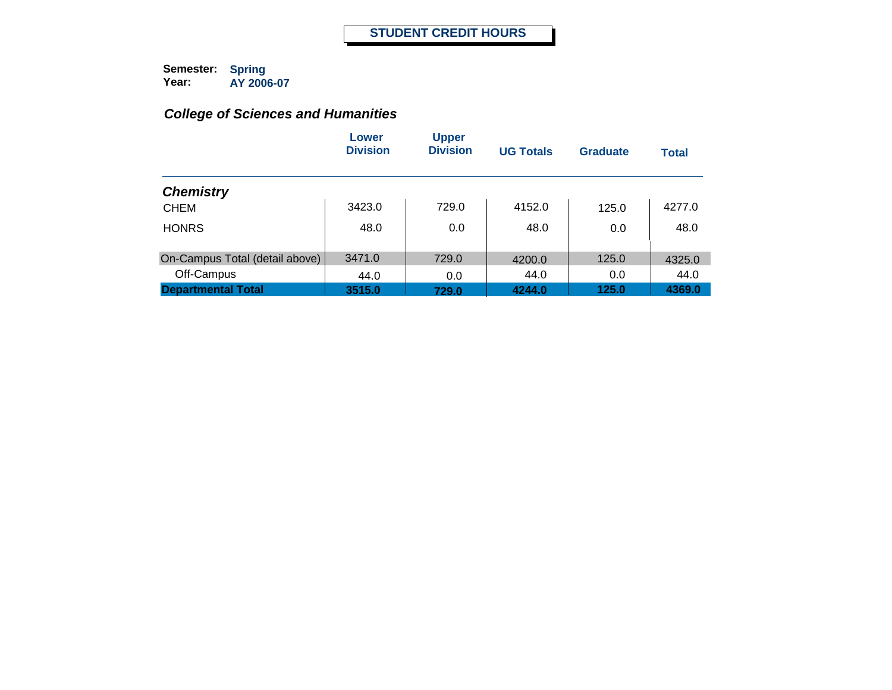|                                | Lower<br><b>Division</b> | <b>Upper</b><br><b>Division</b> | <b>UG Totals</b> | Graduate | <b>Total</b> |
|--------------------------------|--------------------------|---------------------------------|------------------|----------|--------------|
| <b>Chemistry</b>               |                          |                                 |                  |          |              |
| <b>CHEM</b>                    | 3423.0                   | 729.0                           | 4152.0           | 125.0    | 4277.0       |
| <b>HONRS</b>                   | 48.0                     | 0.0                             | 48.0             | 0.0      | 48.0         |
| On-Campus Total (detail above) | 3471.0                   | 729.0                           | 4200.0           | 125.0    | 4325.0       |
| Off-Campus                     | 44.0                     | 0.0                             | 44.0             | 0.0      | 44.0         |
| <b>Departmental Total</b>      | 3515.0                   | 729.0                           | 4244.0           | 125.0    | 4369.0       |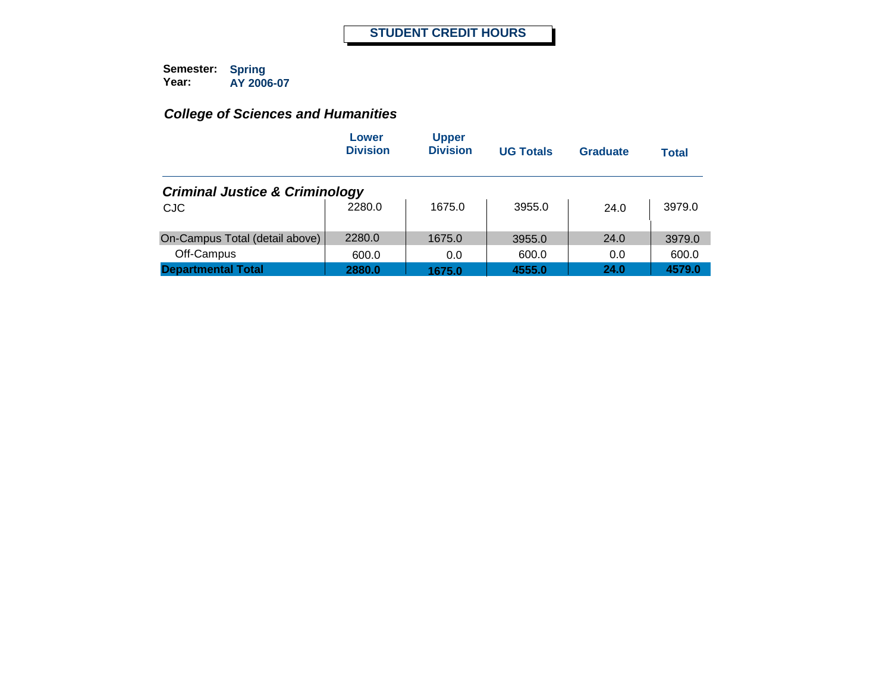|                                           | Lower<br><b>Division</b> | <b>Upper</b><br><b>Division</b> | <b>UG Totals</b> | Graduate | Total  |
|-------------------------------------------|--------------------------|---------------------------------|------------------|----------|--------|
| <b>Criminal Justice &amp; Criminology</b> |                          |                                 |                  |          |        |
| <b>CJC</b>                                | 2280.0                   | 1675.0                          | 3955.0           | 24.0     | 3979.0 |
| On-Campus Total (detail above)            | 2280.0                   | 1675.0                          | 3955.0           | 24.0     | 3979.0 |
| Off-Campus                                | 600.0                    | 0.0                             | 600.0            | 0.0      | 600.0  |
| <b>Departmental Total</b>                 | 2880.0                   | 1675.0                          | 4555.0           | 24.0     | 4579.0 |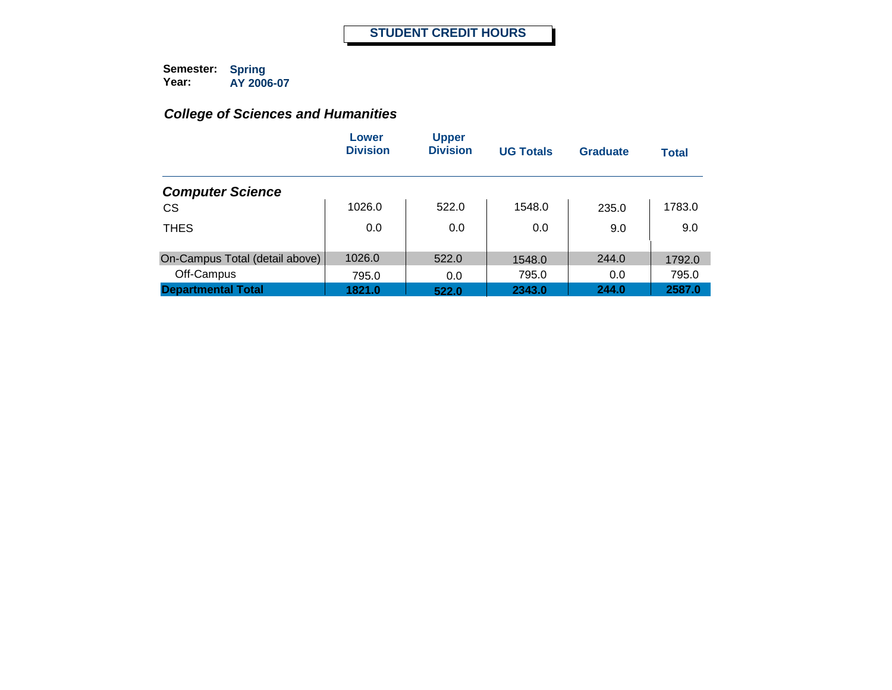|                                | Lower<br><b>Division</b> | <b>Upper</b><br><b>Division</b> | <b>UG Totals</b> | <b>Graduate</b> | <b>Total</b> |
|--------------------------------|--------------------------|---------------------------------|------------------|-----------------|--------------|
| <b>Computer Science</b>        |                          |                                 |                  |                 |              |
| <b>CS</b>                      | 1026.0                   | 522.0                           | 1548.0           | 235.0           | 1783.0       |
| <b>THES</b>                    | 0.0                      | 0.0                             | 0.0              | 9.0             | 9.0          |
| On-Campus Total (detail above) | 1026.0                   | 522.0                           | 1548.0           | 244.0           | 1792.0       |
| Off-Campus                     | 795.0                    | 0.0                             | 795.0            | 0.0             | 795.0        |
| <b>Departmental Total</b>      | 1821.0                   | 522.0                           | 2343.0           | 244.0           | 2587.0       |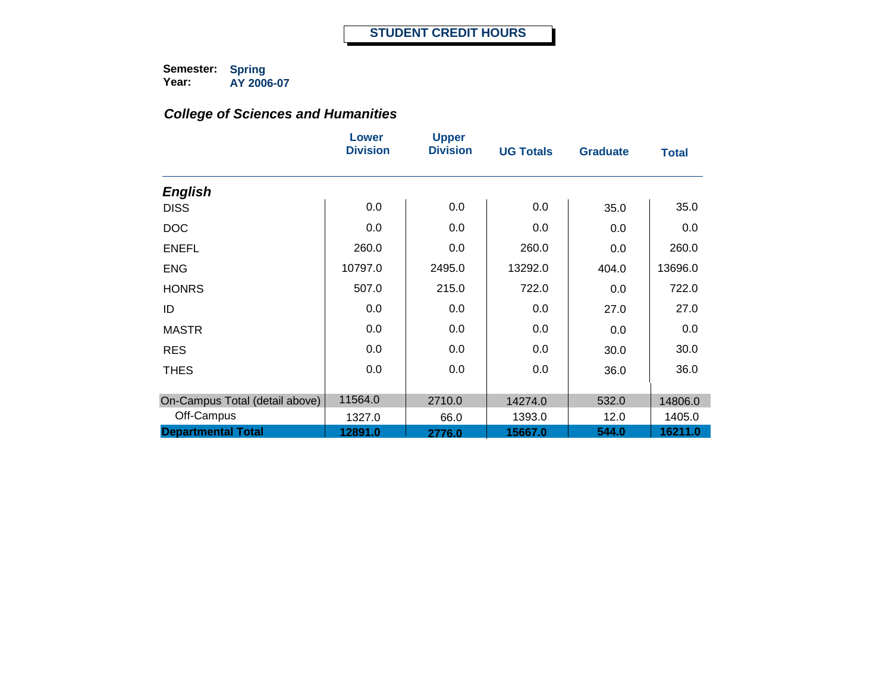|                                | Lower<br><b>Division</b> | <b>Upper</b><br><b>Division</b> | <b>UG Totals</b> | <b>Graduate</b> | <b>Total</b> |
|--------------------------------|--------------------------|---------------------------------|------------------|-----------------|--------------|
| <b>English</b>                 |                          |                                 |                  |                 |              |
| <b>DISS</b>                    | 0.0                      | 0.0                             | 0.0              | 35.0            | 35.0         |
| <b>DOC</b>                     | 0.0                      | 0.0                             | 0.0              | 0.0             | 0.0          |
| <b>ENEFL</b>                   | 260.0                    | 0.0                             | 260.0            | 0.0             | 260.0        |
| <b>ENG</b>                     | 10797.0                  | 2495.0                          | 13292.0          | 404.0           | 13696.0      |
| <b>HONRS</b>                   | 507.0                    | 215.0                           | 722.0            | 0.0             | 722.0        |
| ID                             | 0.0                      | 0.0                             | 0.0              | 27.0            | 27.0         |
| <b>MASTR</b>                   | 0.0                      | 0.0                             | 0.0              | 0.0             | 0.0          |
| <b>RES</b>                     | 0.0                      | 0.0                             | 0.0              | 30.0            | 30.0         |
| <b>THES</b>                    | 0.0                      | 0.0                             | 0.0              | 36.0            | 36.0         |
|                                |                          |                                 |                  |                 |              |
| On-Campus Total (detail above) | 11564.0                  | 2710.0                          | 14274.0          | 532.0           | 14806.0      |
| Off-Campus                     | 1327.0                   | 66.0                            | 1393.0           | 12.0            | 1405.0       |
| <b>Departmental Total</b>      | 12891.0                  | 2776.0                          | 15667.0          | 544.0           | 16211.0      |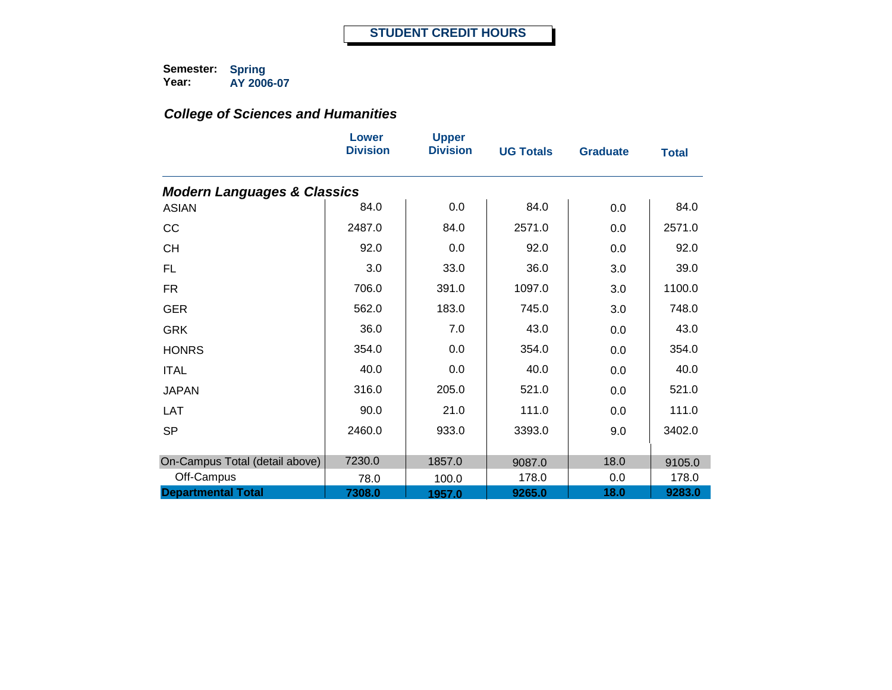|                                        | Lower<br><b>Division</b> | <b>Upper</b><br><b>Division</b> | <b>UG Totals</b> | <b>Graduate</b> | <b>Total</b> |
|----------------------------------------|--------------------------|---------------------------------|------------------|-----------------|--------------|
| <b>Modern Languages &amp; Classics</b> |                          |                                 |                  |                 |              |
| <b>ASIAN</b>                           | 84.0                     | 0.0                             | 84.0             | 0.0             | 84.0         |
| CC                                     | 2487.0                   | 84.0                            | 2571.0           | 0.0             | 2571.0       |
| <b>CH</b>                              | 92.0                     | 0.0                             | 92.0             | 0.0             | 92.0         |
| <b>FL</b>                              | 3.0                      | 33.0                            | 36.0             | 3.0             | 39.0         |
| <b>FR</b>                              | 706.0                    | 391.0                           | 1097.0           | 3.0             | 1100.0       |
| <b>GER</b>                             | 562.0                    | 183.0                           | 745.0            | 3.0             | 748.0        |
| <b>GRK</b>                             | 36.0                     | 7.0                             | 43.0             | 0.0             | 43.0         |
| <b>HONRS</b>                           | 354.0                    | 0.0                             | 354.0            | 0.0             | 354.0        |
| <b>ITAL</b>                            | 40.0                     | 0.0                             | 40.0             | 0.0             | 40.0         |
| <b>JAPAN</b>                           | 316.0                    | 205.0                           | 521.0            | 0.0             | 521.0        |
| <b>LAT</b>                             | 90.0                     | 21.0                            | 111.0            | 0.0             | 111.0        |
| <b>SP</b>                              | 2460.0                   | 933.0                           | 3393.0           | 9.0             | 3402.0       |
| On-Campus Total (detail above)         | 7230.0                   | 1857.0                          | 9087.0           | 18.0            | 9105.0       |
| Off-Campus                             | 78.0                     | 100.0                           | 178.0            | 0.0             | 178.0        |
| <b>Departmental Total</b>              | 7308.0                   | 1957.0                          | 9265.0           | 18.0            | 9283.0       |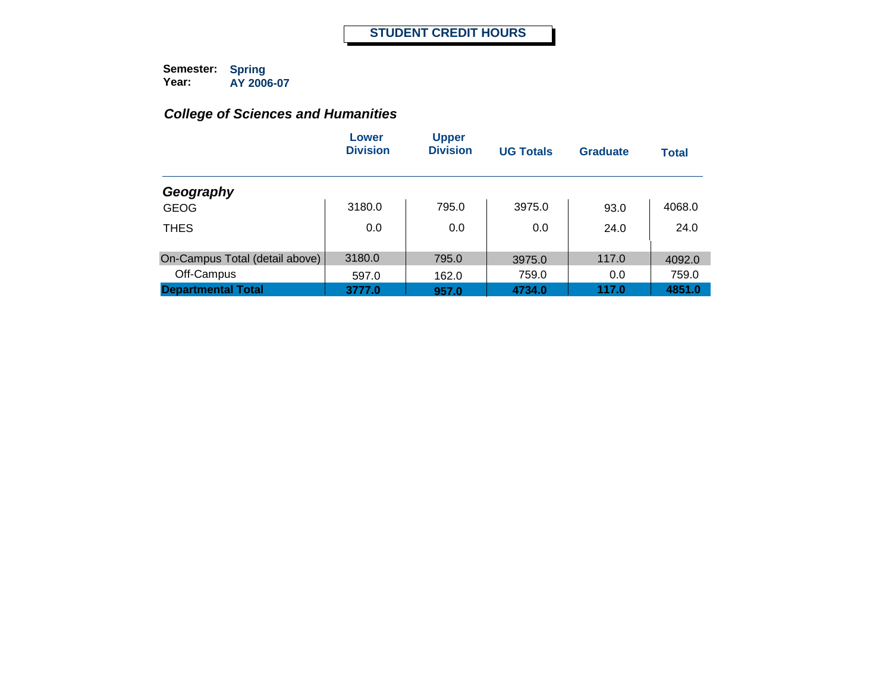|                                | Lower<br><b>Division</b> | <b>Upper</b><br><b>Division</b> | <b>UG Totals</b> | <b>Graduate</b> | <b>Total</b> |
|--------------------------------|--------------------------|---------------------------------|------------------|-----------------|--------------|
| Geography                      |                          |                                 |                  |                 |              |
| <b>GEOG</b>                    | 3180.0                   | 795.0                           | 3975.0           | 93.0            | 4068.0       |
| <b>THES</b>                    | 0.0                      | 0.0                             | 0.0              | 24.0            | 24.0         |
| On-Campus Total (detail above) | 3180.0                   | 795.0                           | 3975.0           | 117.0           | 4092.0       |
| Off-Campus                     | 597.0                    | 162.0                           | 759.0            | 0.0             | 759.0        |
| <b>Departmental Total</b>      | 3777.0                   | 957.0                           | 4734.0           | 117.0           | 4851.0       |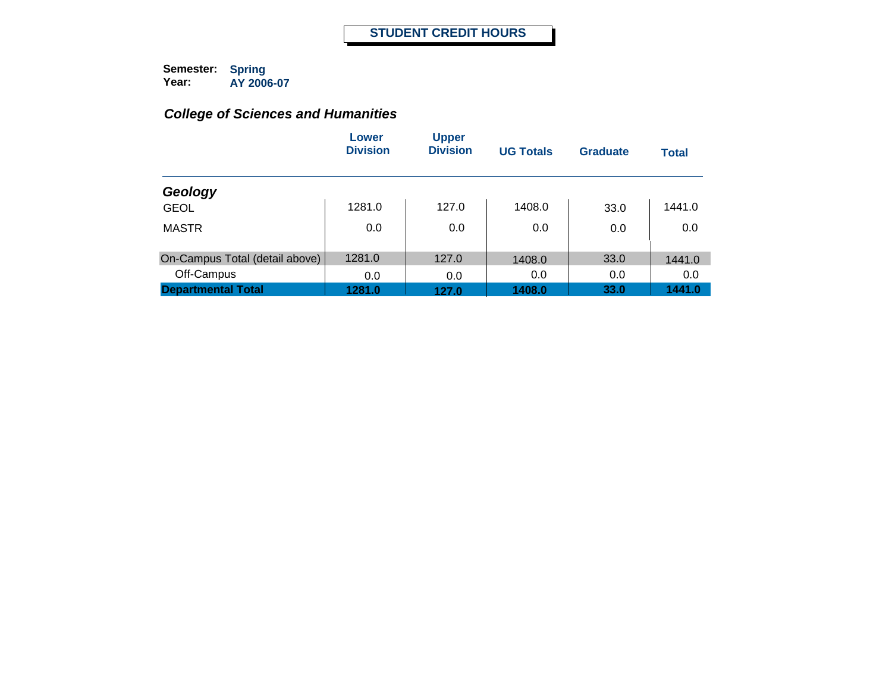|                                | Lower<br><b>Division</b> | <b>Upper</b><br><b>Division</b> | <b>UG Totals</b> | <b>Graduate</b> | <b>Total</b> |
|--------------------------------|--------------------------|---------------------------------|------------------|-----------------|--------------|
| Geology                        |                          |                                 |                  |                 |              |
| <b>GEOL</b>                    | 1281.0                   | 127.0                           | 1408.0           | 33.0            | 1441.0       |
| <b>MASTR</b>                   | 0.0                      | 0.0                             | 0.0              | 0.0             | 0.0          |
| On-Campus Total (detail above) | 1281.0                   | 127.0                           | 1408.0           | 33.0            | 1441.0       |
| Off-Campus                     | 0.0                      | 0.0                             | 0.0              | 0.0             | 0.0          |
| <b>Departmental Total</b>      | 1281.0                   | 127.0                           | 1408.0           | 33.0            | 1441.0       |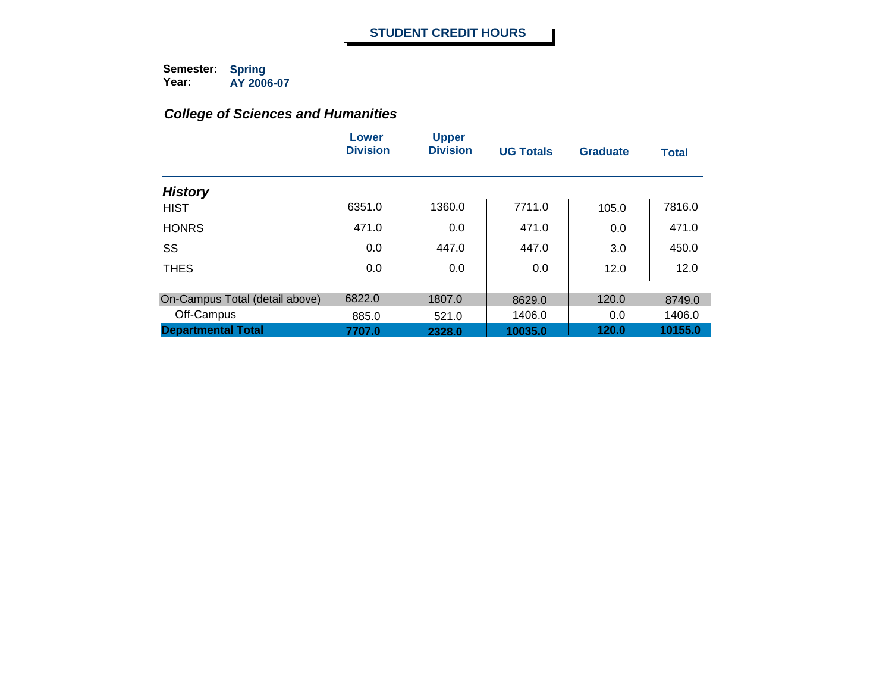|                                | Lower<br><b>Division</b> | <b>Upper</b><br><b>Division</b> | <b>UG Totals</b> | <b>Graduate</b> | <b>Total</b> |
|--------------------------------|--------------------------|---------------------------------|------------------|-----------------|--------------|
| <b>History</b>                 |                          |                                 |                  |                 |              |
| <b>HIST</b>                    | 6351.0                   | 1360.0                          | 7711.0           | 105.0           | 7816.0       |
| <b>HONRS</b>                   | 471.0                    | 0.0                             | 471.0            | 0.0             | 471.0        |
| SS                             | 0.0                      | 447.0                           | 447.0            | 3.0             | 450.0        |
| <b>THES</b>                    | 0.0                      | 0.0                             | 0.0              | 12.0            | 12.0         |
| On-Campus Total (detail above) | 6822.0                   | 1807.0                          | 8629.0           | 120.0           | 8749.0       |
| Off-Campus                     | 885.0                    | 521.0                           | 1406.0           | 0.0             | 1406.0       |
| <b>Departmental Total</b>      | 7707.0                   | 2328.0                          | 10035.0          | 120.0           | 10155.0      |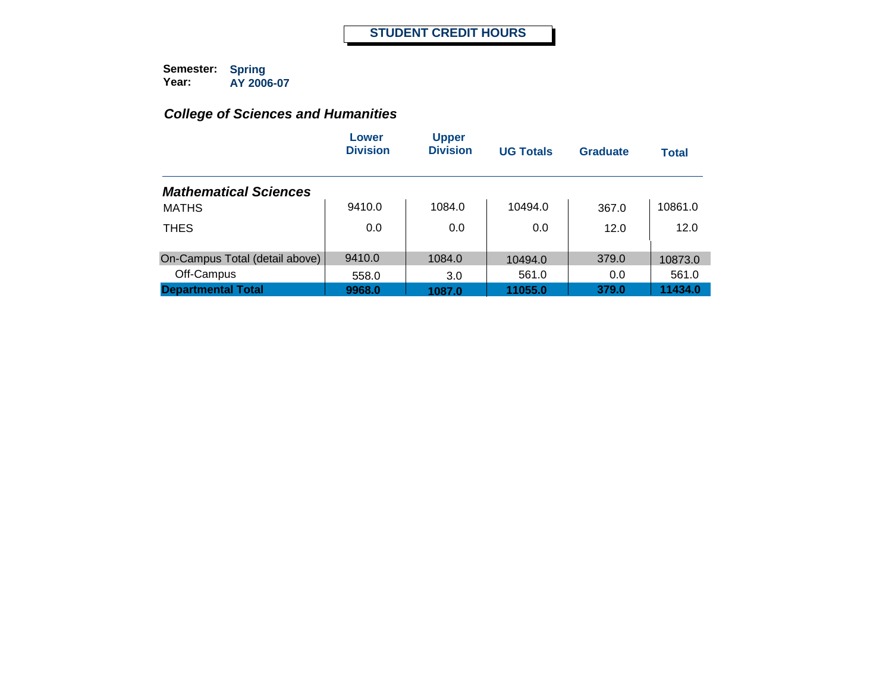|                                | Lower<br><b>Division</b> | <b>Upper</b><br><b>Division</b> | <b>UG Totals</b> | <b>Graduate</b> | <b>Total</b> |
|--------------------------------|--------------------------|---------------------------------|------------------|-----------------|--------------|
| <b>Mathematical Sciences</b>   |                          |                                 |                  |                 |              |
| <b>MATHS</b>                   | 9410.0                   | 1084.0                          | 10494.0          | 367.0           | 10861.0      |
| <b>THES</b>                    | 0.0                      | 0.0                             | 0.0              | 12.0            | 12.0         |
| On-Campus Total (detail above) | 9410.0                   | 1084.0                          | 10494.0          | 379.0           | 10873.0      |
| Off-Campus                     | 558.0                    | 3.0                             | 561.0            | 0.0             | 561.0        |
| <b>Departmental Total</b>      | 9968.0                   | 1087.0                          | 11055.0          | 379.0           | 11434.0      |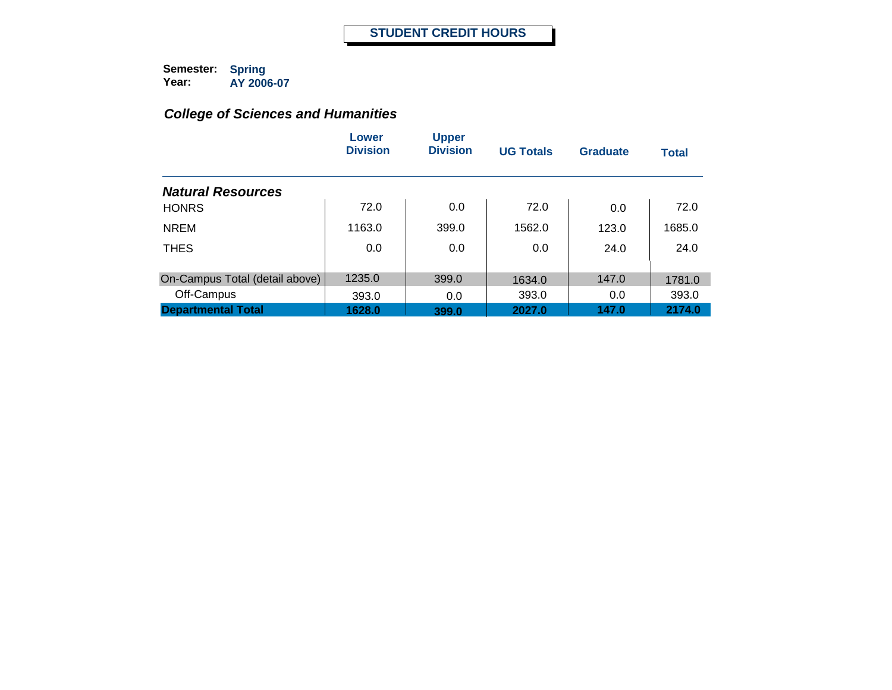|                                | Lower<br><b>Division</b> | <b>Upper</b><br><b>Division</b> | <b>UG Totals</b> | <b>Graduate</b> | <b>Total</b> |
|--------------------------------|--------------------------|---------------------------------|------------------|-----------------|--------------|
| <b>Natural Resources</b>       |                          |                                 |                  |                 |              |
| <b>HONRS</b>                   | 72.0                     | 0.0                             | 72.0             | 0.0             | 72.0         |
| <b>NREM</b>                    | 1163.0                   | 399.0                           | 1562.0           | 123.0           | 1685.0       |
| <b>THES</b>                    | 0.0                      | 0.0                             | 0.0              | 24.0            | 24.0         |
|                                | 1235.0                   |                                 |                  |                 |              |
| On-Campus Total (detail above) |                          | 399.0                           | 1634.0           | 147.0           | 1781.0       |
| Off-Campus                     | 393.0                    | 0.0                             | 393.0            | 0.0             | 393.0        |
| <b>Departmental Total</b>      | 1628.0                   | 399.0                           | 2027.0           | 147.0           | 2174.0       |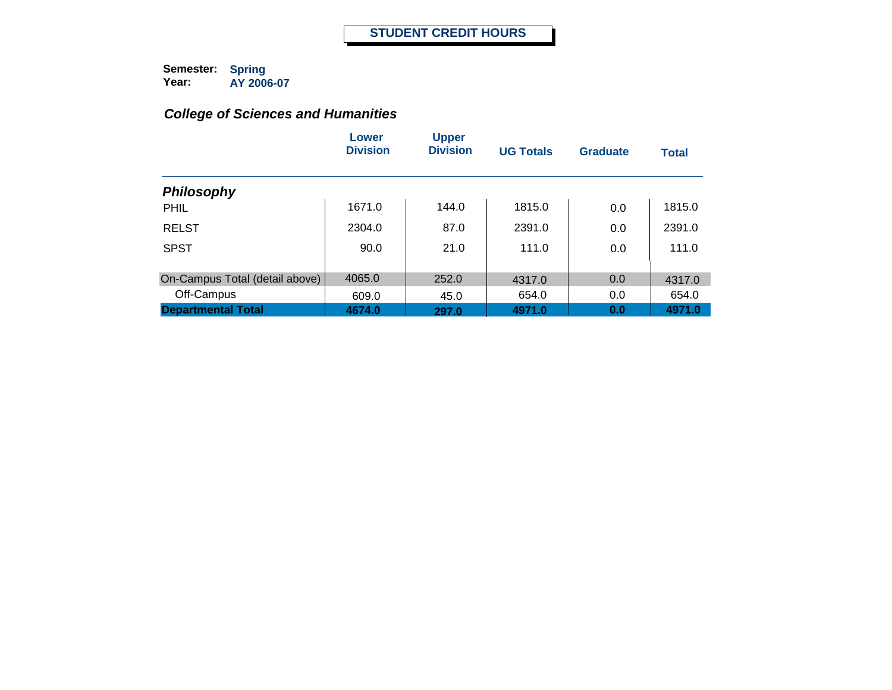|                                | Lower<br><b>Division</b> | <b>Upper</b><br><b>Division</b> | <b>UG Totals</b> | Graduate | <b>Total</b> |
|--------------------------------|--------------------------|---------------------------------|------------------|----------|--------------|
| <b>Philosophy</b>              |                          |                                 |                  |          |              |
| PHIL                           | 1671.0                   | 144.0                           | 1815.0           | 0.0      | 1815.0       |
| <b>RELST</b>                   | 2304.0                   | 87.0                            | 2391.0           | 0.0      | 2391.0       |
| <b>SPST</b>                    | 90.0                     | 21.0                            | 111.0            | 0.0      | 111.0        |
| On-Campus Total (detail above) | 4065.0                   | 252.0                           | 4317.0           | 0.0      | 4317.0       |
| Off-Campus                     | 609.0                    | 45.0                            | 654.0            | 0.0      | 654.0        |
| <b>Departmental Total</b>      | 4674.0                   | 297.0                           | 4971.0           | 0.0      | 4971.0       |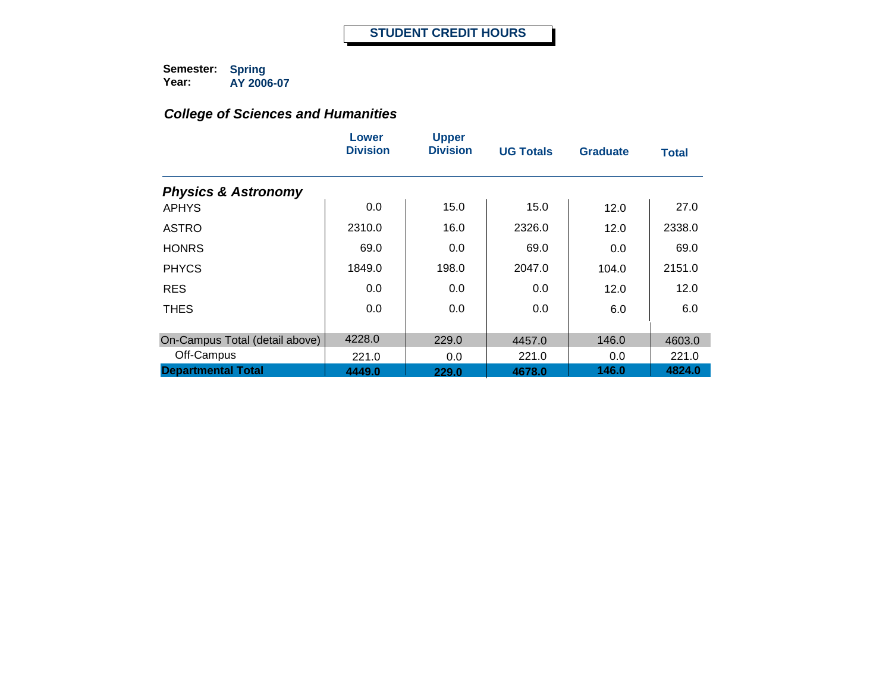|                                | Lower<br><b>Division</b> | <b>Upper</b><br><b>Division</b> | <b>UG Totals</b> | <b>Graduate</b> | <b>Total</b> |
|--------------------------------|--------------------------|---------------------------------|------------------|-----------------|--------------|
| <b>Physics &amp; Astronomy</b> |                          |                                 |                  |                 |              |
| <b>APHYS</b>                   | 0.0                      | 15.0                            | 15.0             | 12.0            | 27.0         |
| <b>ASTRO</b>                   | 2310.0                   | 16.0                            | 2326.0           | 12.0            | 2338.0       |
| <b>HONRS</b>                   | 69.0                     | 0.0                             | 69.0             | 0.0             | 69.0         |
| <b>PHYCS</b>                   | 1849.0                   | 198.0                           | 2047.0           | 104.0           | 2151.0       |
| <b>RES</b>                     | 0.0                      | 0.0                             | 0.0              | 12.0            | 12.0         |
| <b>THES</b>                    | 0.0                      | 0.0                             | 0.0              | 6.0             | 6.0          |
| On-Campus Total (detail above) | 4228.0                   | 229.0                           | 4457.0           | 146.0           | 4603.0       |
| Off-Campus                     | 221.0                    | 0.0                             | 221.0            | 0.0             | 221.0        |
| <b>Departmental Total</b>      | 4449.0                   | 229.0                           | 4678.0           | 146.0           | 4824.0       |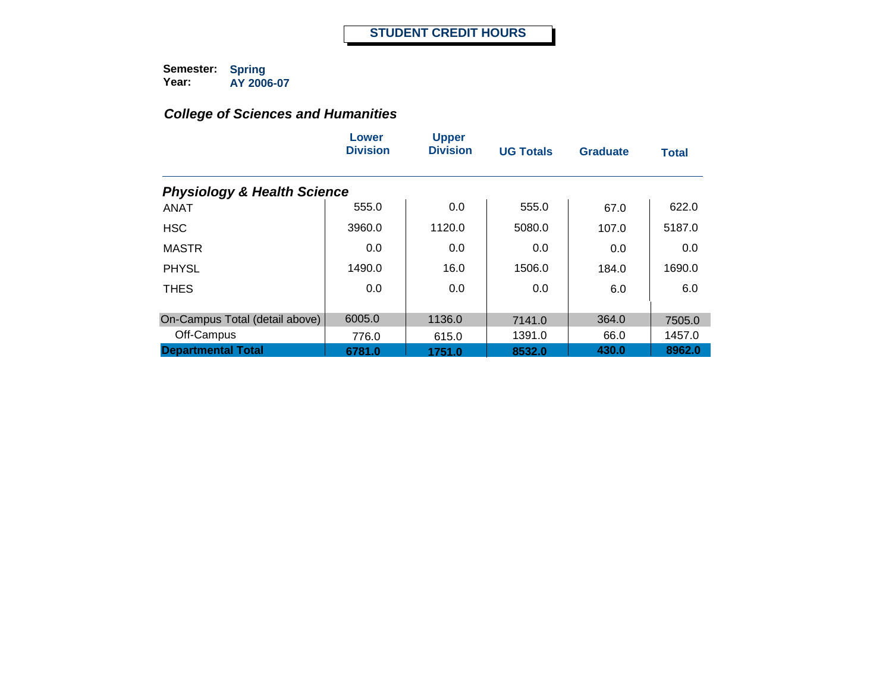|                                        | Lower<br><b>Division</b> | <b>Upper</b><br><b>Division</b> | <b>UG Totals</b> | <b>Graduate</b> | <b>Total</b> |  |  |  |  |
|----------------------------------------|--------------------------|---------------------------------|------------------|-----------------|--------------|--|--|--|--|
| <b>Physiology &amp; Health Science</b> |                          |                                 |                  |                 |              |  |  |  |  |
| <b>ANAT</b>                            | 555.0                    | 0.0                             | 555.0            | 67.0            | 622.0        |  |  |  |  |
| <b>HSC</b>                             | 3960.0                   | 1120.0                          | 5080.0           | 107.0           | 5187.0       |  |  |  |  |
| <b>MASTR</b>                           | 0.0                      | 0.0                             | 0.0              | 0.0             | 0.0          |  |  |  |  |
| <b>PHYSL</b>                           | 1490.0                   | 16.0                            | 1506.0           | 184.0           | 1690.0       |  |  |  |  |
| <b>THES</b>                            | 0.0                      | 0.0                             | 0.0              | 6.0             | 6.0          |  |  |  |  |
| On-Campus Total (detail above)         | 6005.0                   | 1136.0                          | 7141.0           | 364.0           | 7505.0       |  |  |  |  |
| Off-Campus                             | 776.0                    | 615.0                           | 1391.0           | 66.0            | 1457.0       |  |  |  |  |
| <b>Departmental Total</b>              | 6781.0                   | 1751.0                          | 8532.0           | 430.0           | 8962.0       |  |  |  |  |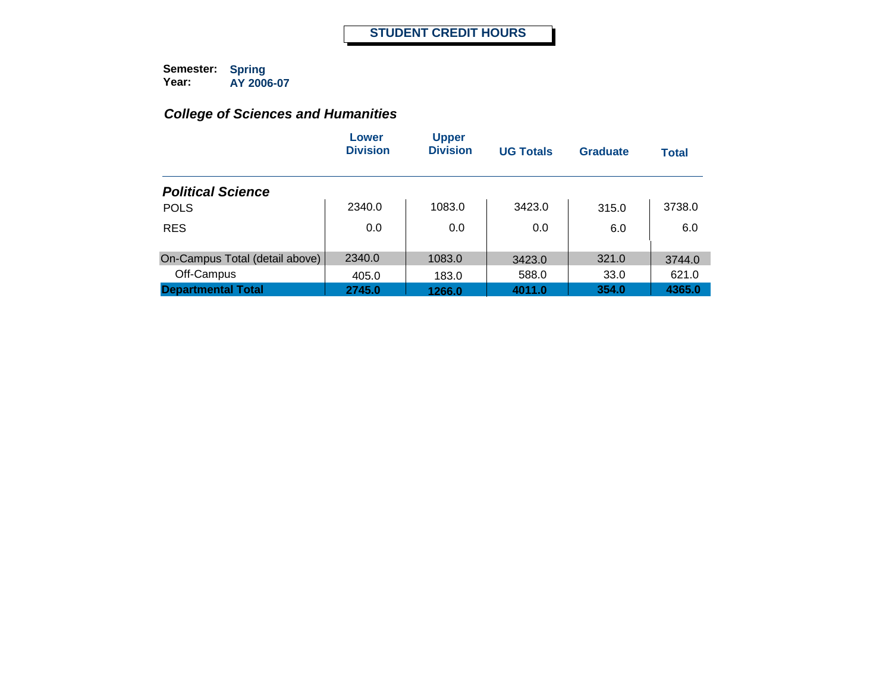|                                | Lower<br><b>Division</b> | <b>Upper</b><br><b>Division</b> | <b>UG Totals</b> | Graduate | <b>Total</b> |
|--------------------------------|--------------------------|---------------------------------|------------------|----------|--------------|
| <b>Political Science</b>       |                          |                                 |                  |          |              |
| <b>POLS</b>                    | 2340.0                   | 1083.0                          | 3423.0           | 315.0    | 3738.0       |
| <b>RES</b>                     | 0.0                      | 0.0                             | 0.0              | 6.0      | 6.0          |
| On-Campus Total (detail above) | 2340.0                   | 1083.0                          | 3423.0           | 321.0    | 3744.0       |
| Off-Campus                     | 405.0                    | 183.0                           | 588.0            | 33.0     | 621.0        |
| <b>Departmental Total</b>      | 2745.0                   | 1266.0                          | 4011.0           | 354.0    | 4365.0       |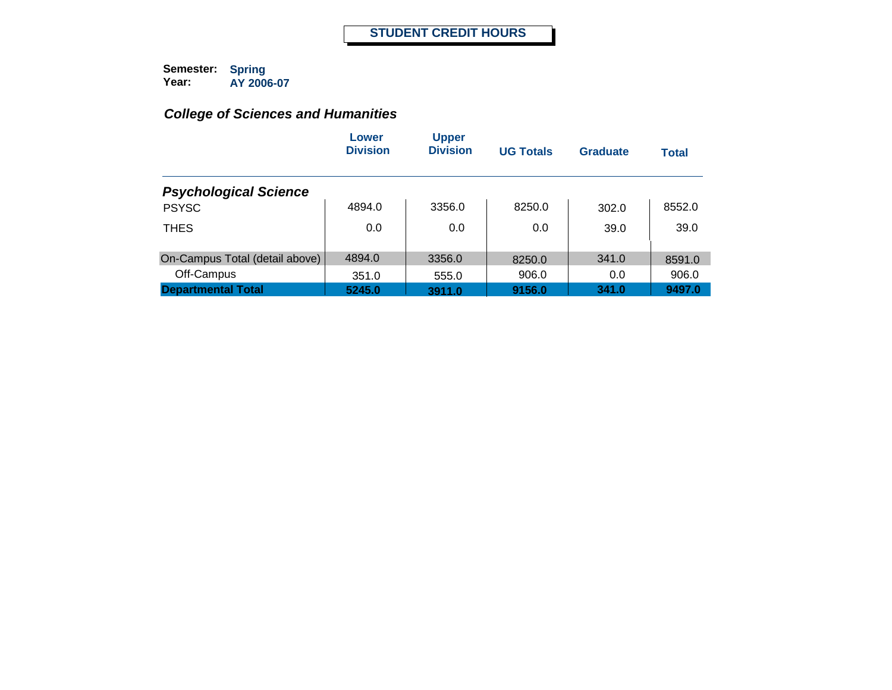|                                | Lower<br><b>Division</b> | <b>Upper</b><br><b>Division</b> | <b>UG Totals</b> | Graduate | <b>Total</b> |
|--------------------------------|--------------------------|---------------------------------|------------------|----------|--------------|
| <b>Psychological Science</b>   |                          |                                 |                  |          |              |
| <b>PSYSC</b>                   | 4894.0                   | 3356.0                          | 8250.0           | 302.0    | 8552.0       |
| <b>THES</b>                    | 0.0                      | 0.0                             | 0.0              | 39.0     | 39.0         |
| On-Campus Total (detail above) | 4894.0                   | 3356.0                          | 8250.0           | 341.0    | 8591.0       |
| Off-Campus                     | 351.0                    | 555.0                           | 906.0            | 0.0      | 906.0        |
| <b>Departmental Total</b>      | 5245.0                   | 3911.0                          | 9156.0           | 341.0    | 9497.0       |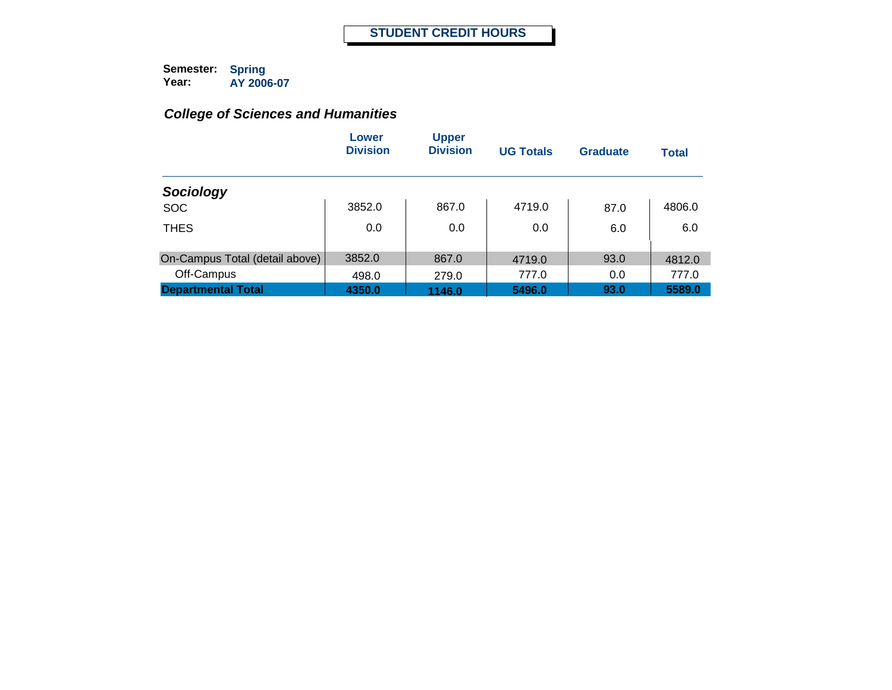|                                | Lower<br><b>Division</b> | <b>Upper</b><br><b>Division</b> | <b>UG Totals</b> | <b>Graduate</b> | <b>Total</b> |
|--------------------------------|--------------------------|---------------------------------|------------------|-----------------|--------------|
| Sociology                      |                          |                                 |                  |                 |              |
| <b>SOC</b>                     | 3852.0                   | 867.0                           | 4719.0           | 87.0            | 4806.0       |
| <b>THES</b>                    | 0.0                      | 0.0                             | 0.0              | 6.0             | 6.0          |
| On-Campus Total (detail above) | 3852.0                   | 867.0                           | 4719.0           | 93.0            | 4812.0       |
| Off-Campus                     | 498.0                    | 279.0                           | 777.0            | 0.0             | 777.0        |
| <b>Departmental Total</b>      | 4350.0                   | 1146.0                          | 5496.0           | 93.0            | 5589.0       |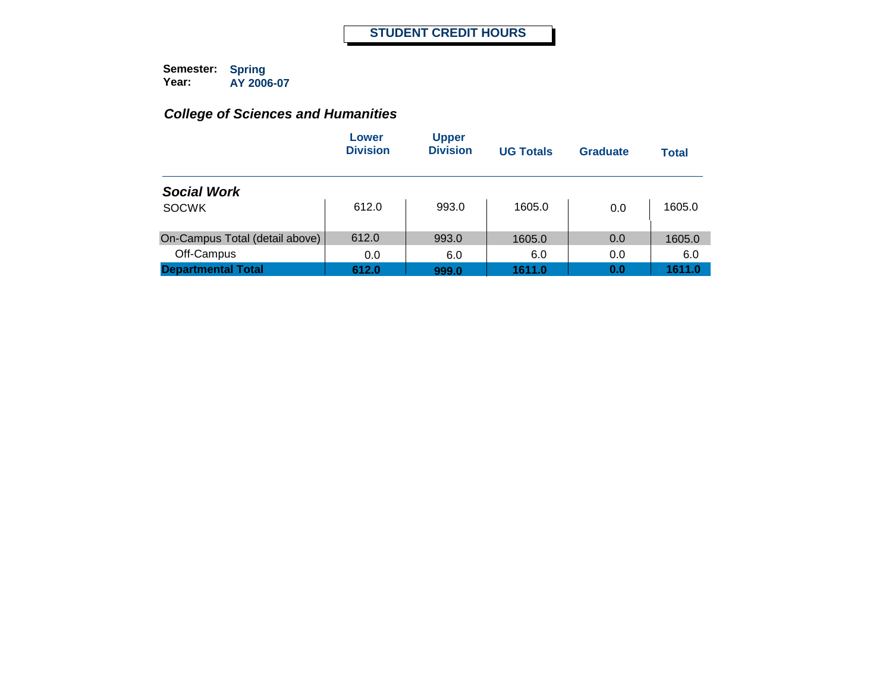|                                | Lower<br><b>Division</b> | <b>Upper</b><br><b>Division</b> | <b>UG Totals</b> | Graduate | Total  |
|--------------------------------|--------------------------|---------------------------------|------------------|----------|--------|
| <b>Social Work</b>             |                          |                                 |                  |          |        |
| <b>SOCWK</b>                   | 612.0                    | 993.0                           | 1605.0           | 0.0      | 1605.0 |
| On-Campus Total (detail above) | 612.0                    | 993.0                           | 1605.0           | 0.0      | 1605.0 |
| Off-Campus                     | 0.0                      | 6.0                             | 6.0              | 0.0      | 6.0    |
| <b>Departmental Total</b>      | 612.0                    | 999.0                           | 1611.0           | 0.0      | 1611.0 |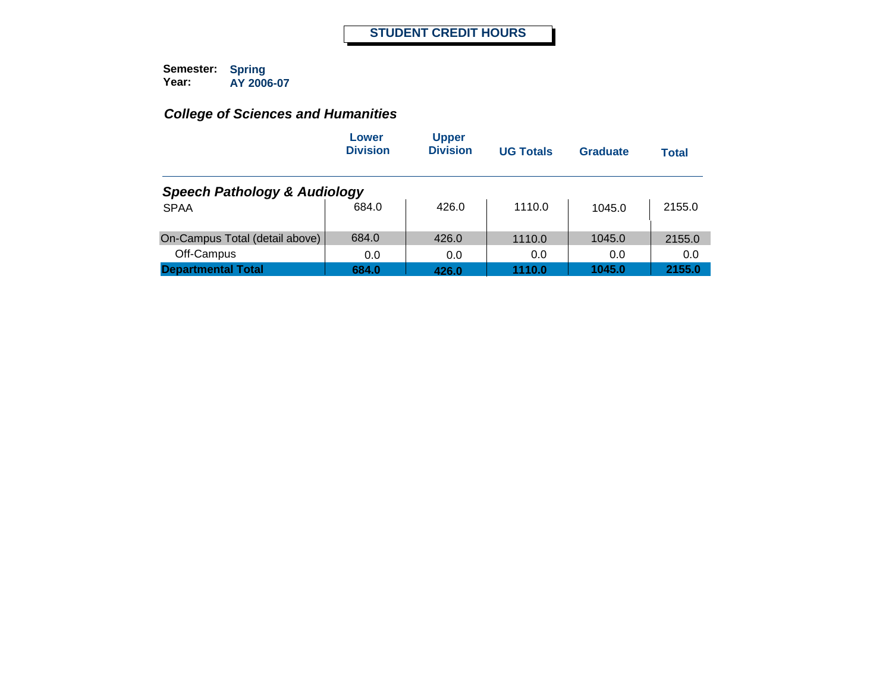|                                         | Lower<br><b>Division</b> | <b>Upper</b><br><b>Division</b> | <b>UG Totals</b> | Graduate | <b>Total</b> |
|-----------------------------------------|--------------------------|---------------------------------|------------------|----------|--------------|
| <b>Speech Pathology &amp; Audiology</b> |                          |                                 |                  |          |              |
| <b>SPAA</b>                             | 684.0                    | 426.0                           | 1110.0           | 1045.0   | 2155.0       |
| On-Campus Total (detail above)          | 684.0                    | 426.0                           | 1110.0           | 1045.0   | 2155.0       |
| Off-Campus                              | 0.0                      | 0.0                             | 0.0              | 0.0      | 0.0          |
| <b>Departmental Total</b>               | 684.0                    | 426.0                           | 1110.0           | 1045.0   | 2155.0       |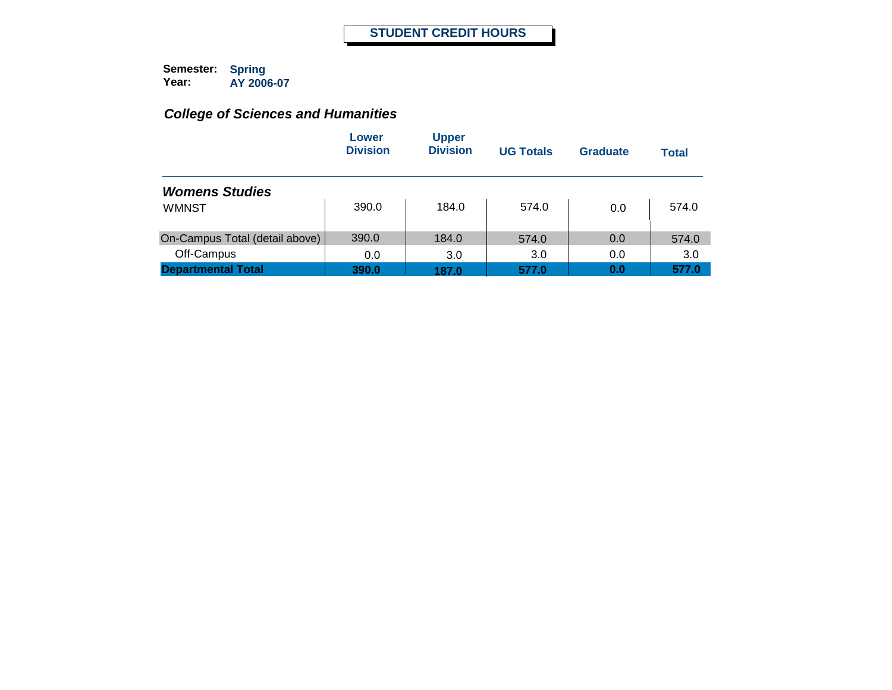|                                | Lower<br><b>Division</b> | <b>Upper</b><br><b>Division</b> | <b>UG Totals</b> | Graduate | <b>Total</b> |
|--------------------------------|--------------------------|---------------------------------|------------------|----------|--------------|
| <b>Womens Studies</b>          |                          |                                 |                  |          |              |
| <b>WMNST</b>                   | 390.0                    | 184.0                           | 574.0            | 0.0      | 574.0        |
| On-Campus Total (detail above) | 390.0                    | 184.0                           | 574.0            | 0.0      | 574.0        |
| Off-Campus                     | 0.0                      | 3.0                             | 3.0              | 0.0      | 3.0          |
| <b>Departmental Total</b>      | 390.0                    | 187.0                           | 577.0            | 0.0      | 577.0        |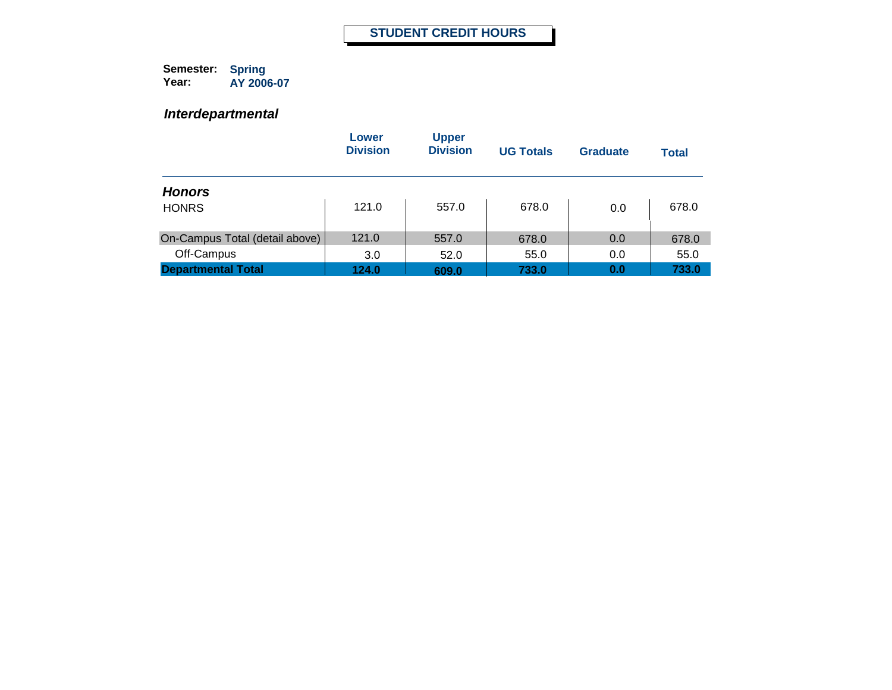#### *Interdepartmental*

|                                | Lower<br><b>Division</b> | <b>Upper</b><br><b>Division</b> | <b>UG Totals</b> | <b>Graduate</b> | Total |
|--------------------------------|--------------------------|---------------------------------|------------------|-----------------|-------|
| <b>Honors</b>                  |                          |                                 |                  |                 |       |
| <b>HONRS</b>                   | 121.0                    | 557.0                           | 678.0            | 0.0             | 678.0 |
| On-Campus Total (detail above) | 121.0                    | 557.0                           | 678.0            | 0.0             | 678.0 |
| Off-Campus                     | 3.0                      | 52.0                            | 55.0             | 0.0             | 55.0  |
| <b>Departmental Total</b>      | 124.0                    | 609.0                           | 733.0            | 0.0             | 733.0 |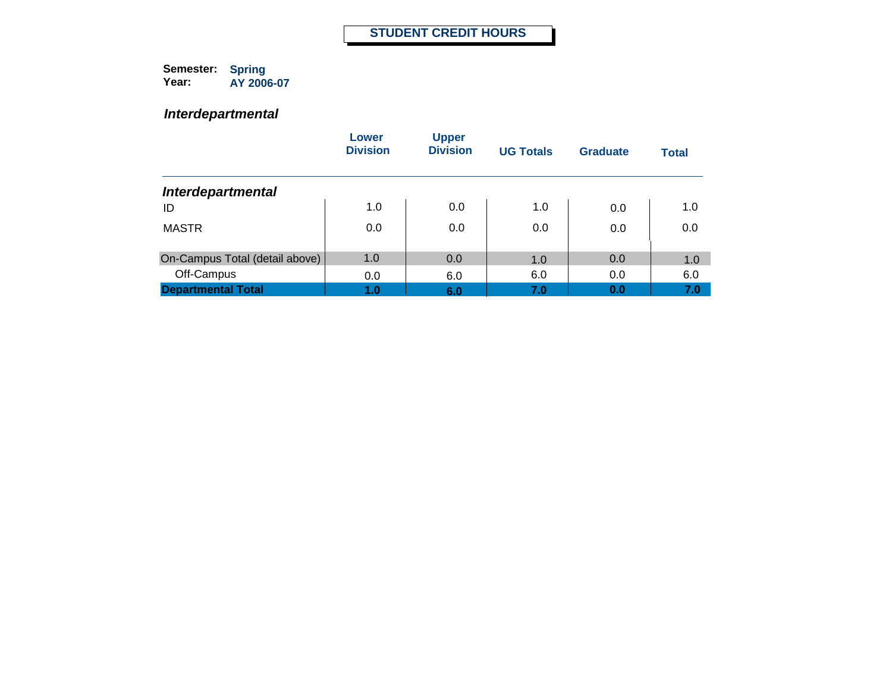#### *Interdepartmental*

|                                | Lower<br><b>Division</b> | <b>Upper</b><br><b>Division</b> | <b>UG Totals</b> | Graduate | <b>Total</b> |
|--------------------------------|--------------------------|---------------------------------|------------------|----------|--------------|
| <b>Interdepartmental</b>       |                          |                                 |                  |          |              |
| ID                             | 1.0                      | 0.0                             | 1.0              | 0.0      | 1.0          |
| <b>MASTR</b>                   | 0.0                      | 0.0                             | 0.0              | 0.0      | 0.0          |
| On-Campus Total (detail above) | 1.0                      | 0.0                             | 1.0              | 0.0      | 1.0          |
| Off-Campus                     | 0.0                      | 6.0                             | 6.0              | 0.0      | 6.0          |
| <b>Departmental Total</b>      | 1.0                      | 6.0                             | 7.0              | 0.0      | 7.0          |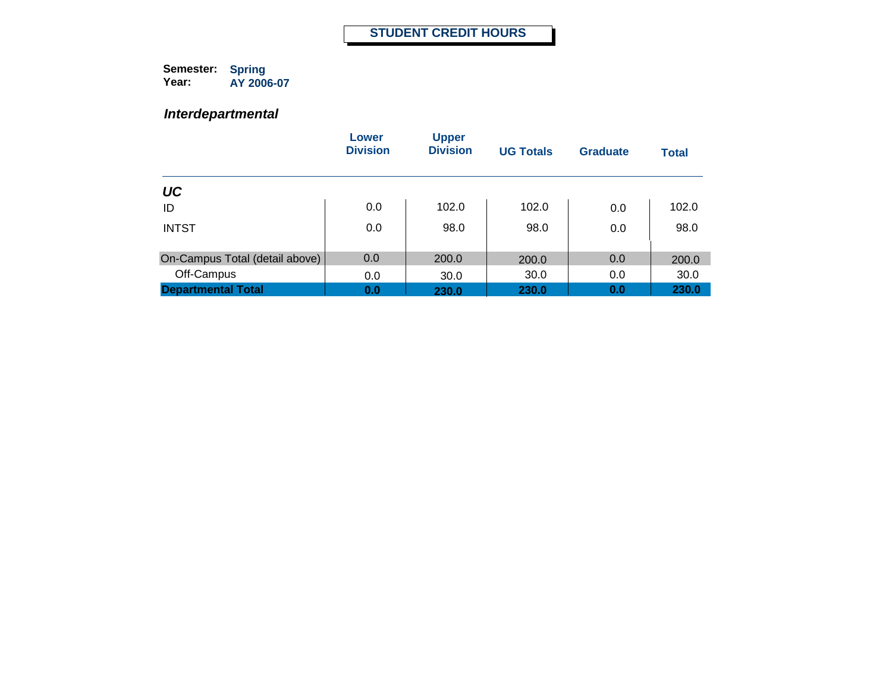#### *Interdepartmental*

|                                | Lower<br><b>Division</b> | <b>Upper</b><br><b>Division</b> | <b>UG Totals</b> | <b>Graduate</b> | <b>Total</b> |
|--------------------------------|--------------------------|---------------------------------|------------------|-----------------|--------------|
| UC                             |                          |                                 |                  |                 |              |
| ID                             | 0.0                      | 102.0                           | 102.0            | 0.0             | 102.0        |
| <b>INTST</b>                   | 0.0                      | 98.0                            | 98.0             | 0.0             | 98.0         |
| On-Campus Total (detail above) | 0.0                      | 200.0                           | 200.0            | 0.0             | 200.0        |
| Off-Campus                     | 0.0                      | 30.0                            | 30.0             | 0.0             | 30.0         |
| <b>Departmental Total</b>      | 0.0                      | 230.0                           | 230.0            | 0.0             | 230.0        |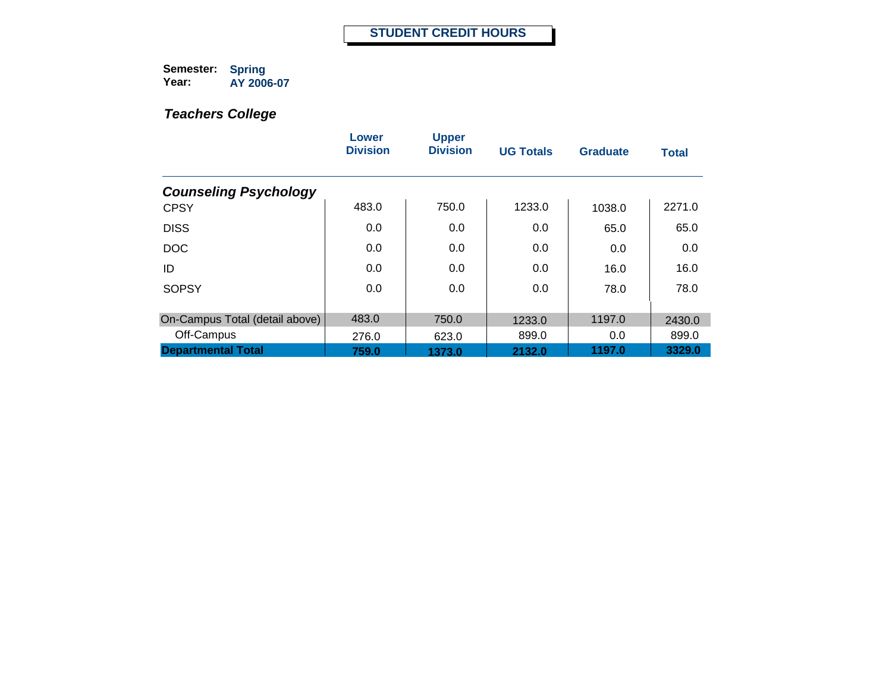|                                | Lower<br><b>Division</b> | <b>Upper</b><br><b>Division</b> | <b>UG Totals</b> | <b>Graduate</b> | <b>Total</b> |
|--------------------------------|--------------------------|---------------------------------|------------------|-----------------|--------------|
| <b>Counseling Psychology</b>   |                          |                                 |                  |                 |              |
| <b>CPSY</b>                    | 483.0                    | 750.0                           | 1233.0           | 1038.0          | 2271.0       |
| <b>DISS</b>                    | 0.0                      | 0.0                             | 0.0              | 65.0            | 65.0         |
| <b>DOC</b>                     | 0.0                      | 0.0                             | 0.0              | 0.0             | 0.0          |
| ID                             | 0.0                      | 0.0                             | 0.0              | 16.0            | 16.0         |
| <b>SOPSY</b>                   | 0.0                      | 0.0                             | 0.0              | 78.0            | 78.0         |
| On-Campus Total (detail above) | 483.0                    | 750.0                           | 1233.0           | 1197.0          | 2430.0       |
| Off-Campus                     | 276.0                    | 623.0                           | 899.0            | 0.0             | 899.0        |
| <b>Departmental Total</b>      | 759.0                    | 1373.0                          | 2132.0           | 1197.0          | 3329.0       |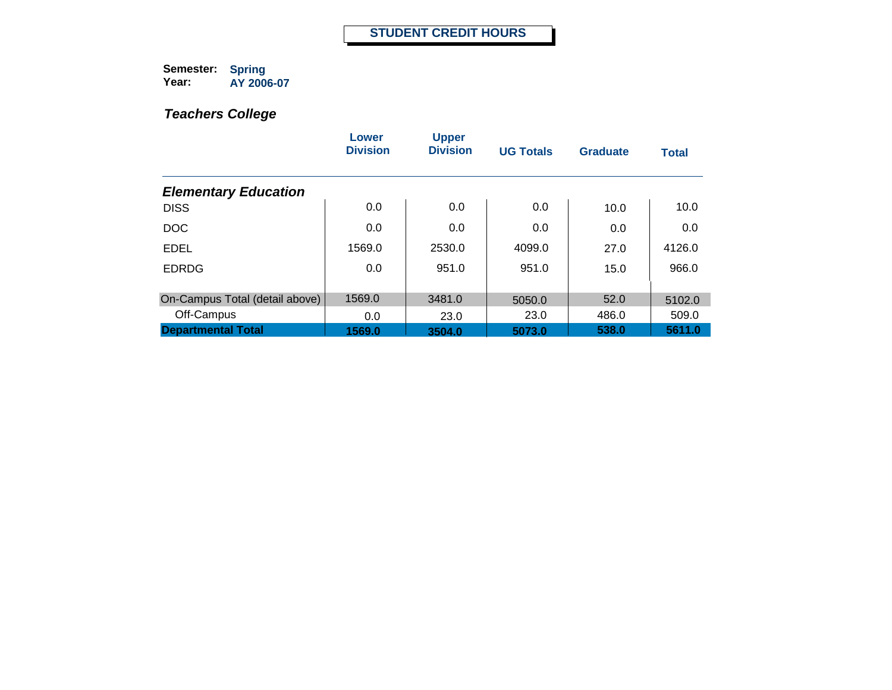|                                | Lower<br><b>Division</b> | <b>Upper</b><br><b>Division</b> | <b>UG Totals</b> | <b>Graduate</b> | <b>Total</b> |
|--------------------------------|--------------------------|---------------------------------|------------------|-----------------|--------------|
| <b>Elementary Education</b>    |                          |                                 |                  |                 |              |
| <b>DISS</b>                    | 0.0                      | 0.0                             | 0.0              | 10.0            | 10.0         |
| <b>DOC</b>                     | 0.0                      | 0.0                             | 0.0              | 0.0             | 0.0          |
| <b>EDEL</b>                    | 1569.0                   | 2530.0                          | 4099.0           | 27.0            | 4126.0       |
| <b>EDRDG</b>                   | 0.0                      | 951.0                           | 951.0            | 15.0            | 966.0        |
| On-Campus Total (detail above) | 1569.0                   | 3481.0                          | 5050.0           | 52.0            | 5102.0       |
| Off-Campus                     | 0.0                      | 23.0                            | 23.0             | 486.0           | 509.0        |
| <b>Departmental Total</b>      | 1569.0                   | 3504.0                          | 5073.0           | 538.0           | 5611.0       |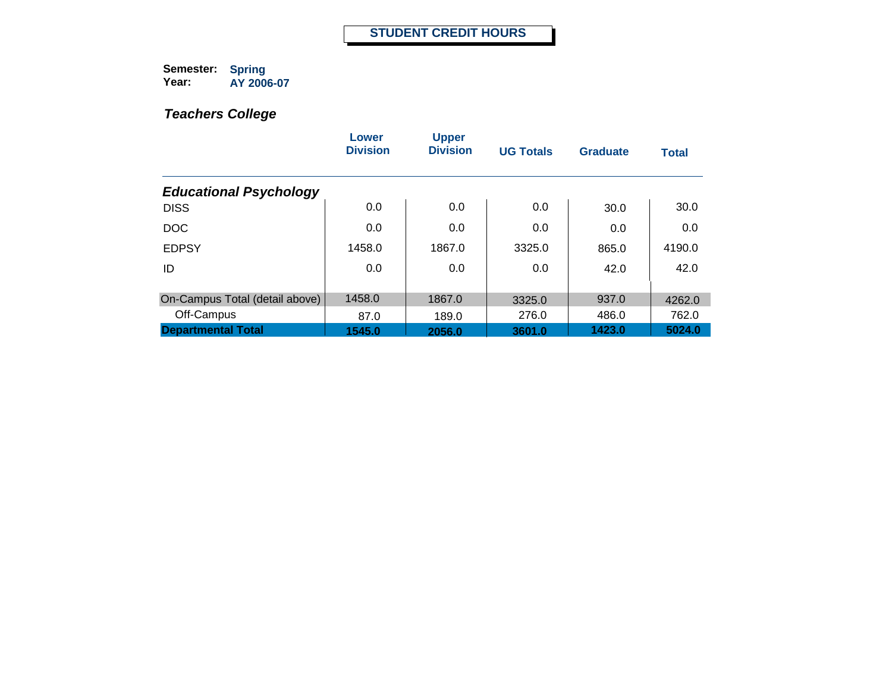|                                | Lower<br><b>Division</b> | <b>Upper</b><br><b>Division</b> | <b>UG Totals</b> | <b>Graduate</b> | <b>Total</b> |
|--------------------------------|--------------------------|---------------------------------|------------------|-----------------|--------------|
| <b>Educational Psychology</b>  |                          |                                 |                  |                 |              |
| <b>DISS</b>                    | 0.0                      | 0.0                             | 0.0              | 30.0            | 30.0         |
| <b>DOC</b>                     | 0.0                      | 0.0                             | 0.0              | 0.0             | 0.0          |
| <b>EDPSY</b>                   | 1458.0                   | 1867.0                          | 3325.0           | 865.0           | 4190.0       |
| ID                             | 0.0                      | 0.0                             | 0.0              | 42.0            | 42.0         |
| On-Campus Total (detail above) | 1458.0                   | 1867.0                          |                  | 937.0           |              |
|                                |                          |                                 | 3325.0           |                 | 4262.0       |
| Off-Campus                     | 87.0                     | 189.0                           | 276.0            | 486.0           | 762.0        |
| <b>Departmental Total</b>      | 1545.0                   | 2056.0                          | 3601.0           | 1423.0          | 5024.0       |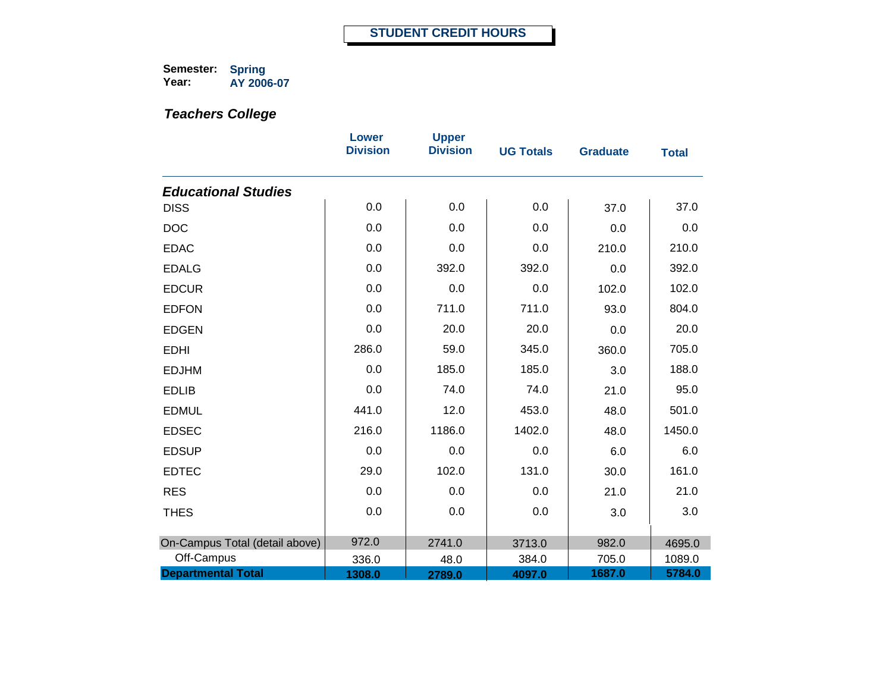|                                | <b>Lower</b><br><b>Division</b> | <b>Upper</b><br><b>Division</b> | <b>UG Totals</b> | <b>Graduate</b> | <b>Total</b> |
|--------------------------------|---------------------------------|---------------------------------|------------------|-----------------|--------------|
| <b>Educational Studies</b>     |                                 |                                 |                  |                 |              |
| <b>DISS</b>                    | 0.0                             | 0.0                             | 0.0              | 37.0            | 37.0         |
| <b>DOC</b>                     | 0.0                             | 0.0                             | 0.0              | 0.0             | 0.0          |
| <b>EDAC</b>                    | 0.0                             | 0.0                             | 0.0              | 210.0           | 210.0        |
| <b>EDALG</b>                   | 0.0                             | 392.0                           | 392.0            | 0.0             | 392.0        |
| <b>EDCUR</b>                   | 0.0                             | 0.0                             | 0.0              | 102.0           | 102.0        |
| <b>EDFON</b>                   | 0.0                             | 711.0                           | 711.0            | 93.0            | 804.0        |
| <b>EDGEN</b>                   | 0.0                             | 20.0                            | 20.0             | 0.0             | 20.0         |
| <b>EDHI</b>                    | 286.0                           | 59.0                            | 345.0            | 360.0           | 705.0        |
| <b>EDJHM</b>                   | 0.0                             | 185.0                           | 185.0            | 3.0             | 188.0        |
| <b>EDLIB</b>                   | 0.0                             | 74.0                            | 74.0             | 21.0            | 95.0         |
| <b>EDMUL</b>                   | 441.0                           | 12.0                            | 453.0            | 48.0            | 501.0        |
| <b>EDSEC</b>                   | 216.0                           | 1186.0                          | 1402.0           | 48.0            | 1450.0       |
| <b>EDSUP</b>                   | 0.0                             | 0.0                             | 0.0              | 6.0             | 6.0          |
| <b>EDTEC</b>                   | 29.0                            | 102.0                           | 131.0            | 30.0            | 161.0        |
| <b>RES</b>                     | 0.0                             | 0.0                             | 0.0              | 21.0            | 21.0         |
| <b>THES</b>                    | 0.0                             | 0.0                             | 0.0              | 3.0             | 3.0          |
|                                |                                 |                                 |                  |                 |              |
| On-Campus Total (detail above) | 972.0                           | 2741.0                          | 3713.0           | 982.0           | 4695.0       |
| Off-Campus                     | 336.0                           | 48.0                            | 384.0            | 705.0           | 1089.0       |
| <b>Departmental Total</b>      | 1308.0                          | 2789.0                          | 4097.0           | 1687.0          | 5784.0       |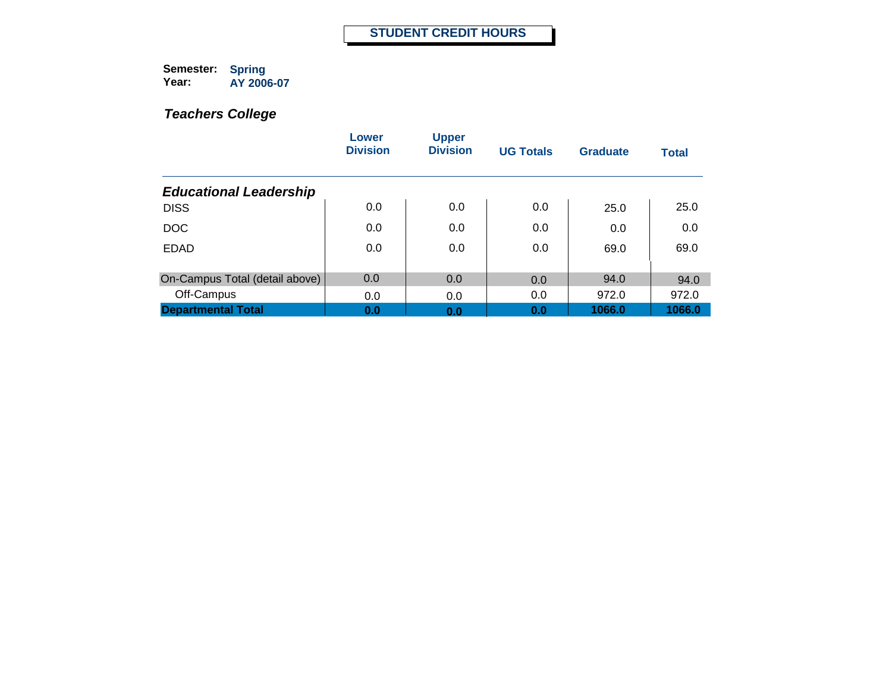|                                | Lower<br><b>Division</b> | <b>Upper</b><br><b>Division</b> | <b>UG Totals</b> | <b>Graduate</b> | <b>Total</b> |
|--------------------------------|--------------------------|---------------------------------|------------------|-----------------|--------------|
| <b>Educational Leadership</b>  |                          |                                 |                  |                 |              |
| <b>DISS</b>                    | 0.0                      | 0.0                             | 0.0              | 25.0            | 25.0         |
| <b>DOC</b>                     | 0.0                      | 0.0                             | 0.0              | 0.0             | 0.0          |
| <b>EDAD</b>                    | 0.0                      | 0.0                             | 0.0              | 69.0            | 69.0         |
| On-Campus Total (detail above) | 0.0                      | 0.0                             |                  | 94.0            |              |
|                                |                          |                                 | 0.0              |                 | 94.0         |
| Off-Campus                     | 0.0                      | 0.0                             | 0.0              | 972.0           | 972.0        |
| <b>Departmental Total</b>      | 0.0                      | 0.0                             | 0.0              | 1066.0          | 1066.0       |